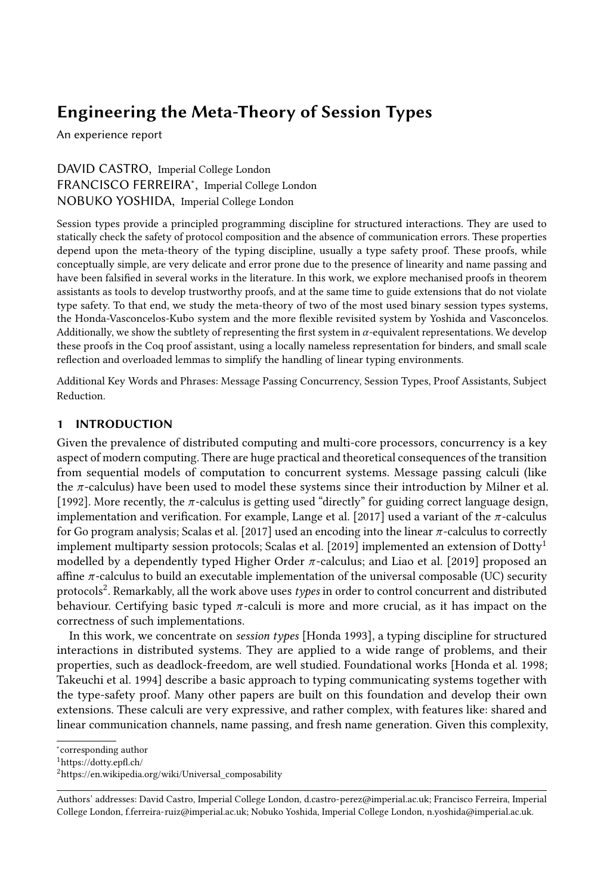### Engineering the Meta-Theory of Session Types

An experience report

DAVID CASTRO, Imperial College London FRANCISCO FERREIRA<sup>∗</sup> , Imperial College London NOBUKO YOSHIDA, Imperial College London

Session types provide a principled programming discipline for structured interactions. They are used to statically check the safety of protocol composition and the absence of communication errors. These properties depend upon the meta-theory of the typing discipline, usually a type safety proof. These proofs, while conceptually simple, are very delicate and error prone due to the presence of linearity and name passing and have been falsified in several works in the literature. In this work, we explore mechanised proofs in theorem assistants as tools to develop trustworthy proofs, and at the same time to guide extensions that do not violate type safety. To that end, we study the meta-theory of two of the most used binary session types systems, the Honda-Vasconcelos-Kubo system and the more flexible revisited system by Yoshida and Vasconcelos. Additionally, we show the subtlety of representing the first system in  $\alpha$ -equivalent representations. We develop these proofs in the Coq proof assistant, using a locally nameless representation for binders, and small scale reflection and overloaded lemmas to simplify the handling of linear typing environments.

Additional Key Words and Phrases: Message Passing Concurrency, Session Types, Proof Assistants, Subject Reduction.

### 1 INTRODUCTION

Given the prevalence of distributed computing and multi-core processors, concurrency is a key aspect of modern computing. There are huge practical and theoretical consequences of the transition from sequential models of computation to concurrent systems. Message passing calculi (like the  $\pi$ -calculus) have been used to model these systems since their introduction by [Milner et al.](#page-24-0) [\[1992\]](#page-24-0). More recently, the  $\pi$ -calculus is getting used "directly" for guiding correct language design, implementation and verification. For example, [Lange et al.](#page-23-0) [\[2017\]](#page-23-0) used a variant of the  $\pi$ -calculus for Go program analysis; [Scalas et al.](#page-24-1) [\[2017\]](#page-24-1) used an encoding into the linear  $\pi$ -calculus to correctly implement multiparty session protocols; [Scalas et al.](#page-24-2) [\[2019\]](#page-24-2) implemented an extension of  $Dotty<sup>1</sup>$  $Dotty<sup>1</sup>$  $Dotty<sup>1</sup>$ modelled by a dependently typed Higher Order  $\pi$ -calculus; and [Liao et al.](#page-24-3) [\[2019\]](#page-24-3) proposed an affine  $\pi$ -calculus to build an executable implementation of the universal composable (UC) security protocols<sup>[2](#page-0-1)</sup>. Remarkably, all the work above uses types in order to control concurrent and distributed behaviour. Certifying basic typed  $\pi$ -calculi is more and more crucial, as it has impact on the correctness of such implementations.

In this work, we concentrate on session types [\[Honda 1993\]](#page-23-1), a typing discipline for structured interactions in distributed systems. They are applied to a wide range of problems, and their properties, such as deadlock-freedom, are well studied. Foundational works [\[Honda et al.](#page-23-2) [1998;](#page-23-2) [Takeuchi et al.](#page-24-4) [1994\]](#page-24-4) describe a basic approach to typing communicating systems together with the type-safety proof. Many other papers are built on this foundation and develop their own extensions. These calculi are very expressive, and rather complex, with features like: shared and linear communication channels, name passing, and fresh name generation. Given this complexity,

<sup>∗</sup> corresponding author

<span id="page-0-0"></span><sup>1</sup>https://dotty.epfl.ch/

<span id="page-0-1"></span><sup>2</sup>https://en.wikipedia.org/wiki/Universal\_composability

Authors' addresses: David Castro, Imperial College London, d.castro-perez@imperial.ac.uk; Francisco Ferreira, Imperial College London, f.ferreira-ruiz@imperial.ac.uk; Nobuko Yoshida, Imperial College London, n.yoshida@imperial.ac.uk.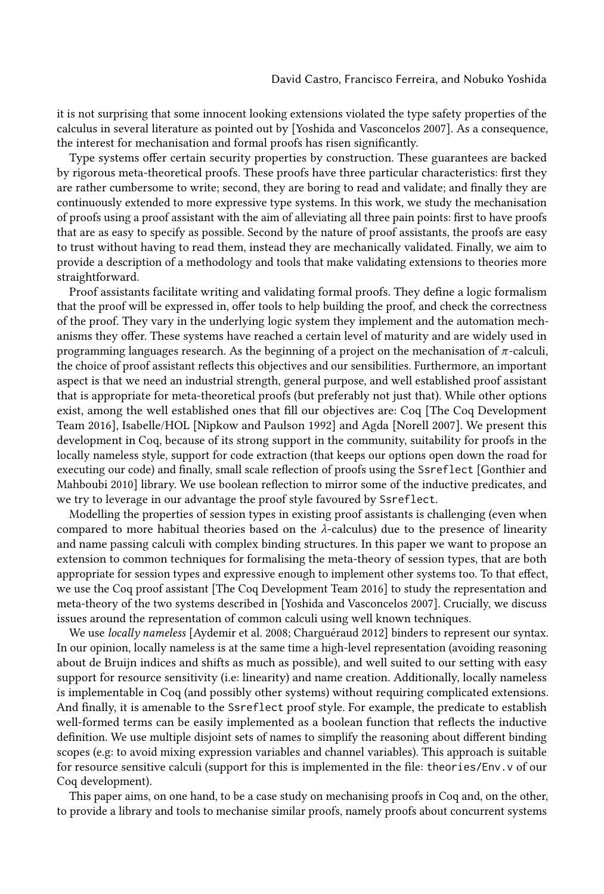it is not surprising that some innocent looking extensions violated the type safety properties of the calculus in several literature as pointed out by [\[Yoshida and Vasconcelos 2007\]](#page-24-5). As a consequence, the interest for mechanisation and formal proofs has risen significantly.

Type systems offer certain security properties by construction. These guarantees are backed by rigorous meta-theoretical proofs. These proofs have three particular characteristics: first they are rather cumbersome to write; second, they are boring to read and validate; and finally they are continuously extended to more expressive type systems. In this work, we study the mechanisation of proofs using a proof assistant with the aim of alleviating all three pain points: first to have proofs that are as easy to specify as possible. Second by the nature of proof assistants, the proofs are easy to trust without having to read them, instead they are mechanically validated. Finally, we aim to provide a description of a methodology and tools that make validating extensions to theories more straightforward.

Proof assistants facilitate writing and validating formal proofs. They define a logic formalism that the proof will be expressed in, offer tools to help building the proof, and check the correctness of the proof. They vary in the underlying logic system they implement and the automation mechanisms they offer. These systems have reached a certain level of maturity and are widely used in programming languages research. As the beginning of a project on the mechanisation of  $\pi$ -calculi, the choice of proof assistant reflects this objectives and our sensibilities. Furthermore, an important aspect is that we need an industrial strength, general purpose, and well established proof assistant that is appropriate for meta-theoretical proofs (but preferably not just that). While other options exist, among the well established ones that fill our objectives are: Coq [\[The Coq Development](#page-24-6) [Team 2016\]](#page-24-6), Isabelle/HOL [\[Nipkow and Paulson 1992\]](#page-24-7) and Agda [\[Norell 2007\]](#page-24-8). We present this development in Coq, because of its strong support in the community, suitability for proofs in the locally nameless style, support for code extraction (that keeps our options open down the road for executing our code) and finally, small scale reflection of proofs using the Ssreflect [\[Gonthier and](#page-23-3) [Mahboubi 2010\]](#page-23-3) library. We use boolean reflection to mirror some of the inductive predicates, and we try to leverage in our advantage the proof style favoured by Ssreflect.

Modelling the properties of session types in existing proof assistants is challenging (even when compared to more habitual theories based on the  $\lambda$ -calculus) due to the presence of linearity and name passing calculi with complex binding structures. In this paper we want to propose an extension to common techniques for formalising the meta-theory of session types, that are both appropriate for session types and expressive enough to implement other systems too. To that effect, we use the Coq proof assistant [\[The Coq Development Team 2016\]](#page-24-6) to study the representation and meta-theory of the two systems described in [\[Yoshida and Vasconcelos 2007\]](#page-24-5). Crucially, we discuss issues around the representation of common calculi using well known techniques.

We use locally nameless [\[Aydemir et al.](#page-22-0) [2008;](#page-22-0) [Charguéraud 2012\]](#page-22-1) binders to represent our syntax. In our opinion, locally nameless is at the same time a high-level representation (avoiding reasoning about de Bruijn indices and shifts as much as possible), and well suited to our setting with easy support for resource sensitivity (i.e: linearity) and name creation. Additionally, locally nameless is implementable in Coq (and possibly other systems) without requiring complicated extensions. And finally, it is amenable to the Ssreflect proof style. For example, the predicate to establish well-formed terms can be easily implemented as a boolean function that reflects the inductive definition. We use multiple disjoint sets of names to simplify the reasoning about different binding scopes (e.g: to avoid mixing expression variables and channel variables). This approach is suitable for resource sensitive calculi (support for this is implemented in the file: theories/Env.v of our Coq development).

This paper aims, on one hand, to be a case study on mechanising proofs in Coq and, on the other, to provide a library and tools to mechanise similar proofs, namely proofs about concurrent systems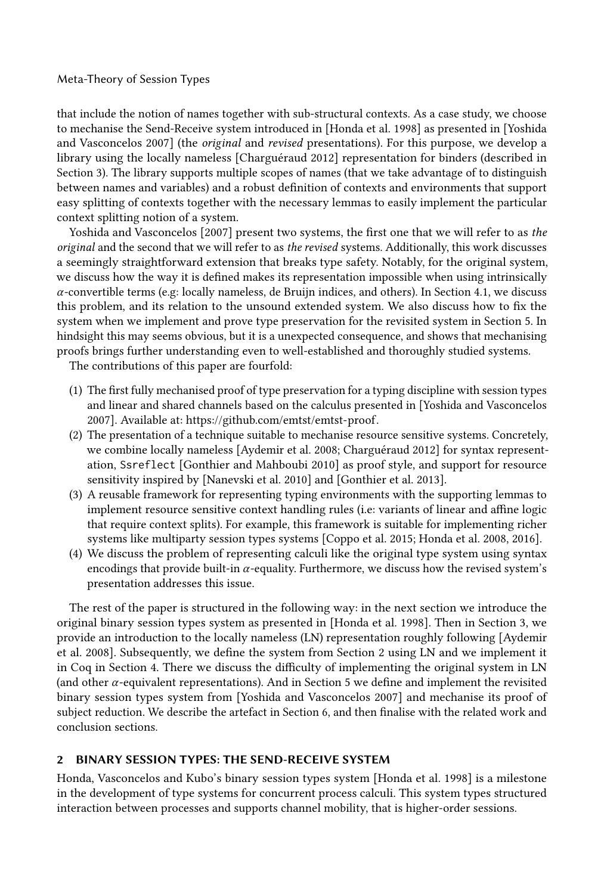that include the notion of names together with sub-structural contexts. As a case study, we choose to mechanise the Send-Receive system introduced in [\[Honda et al.](#page-23-2) [1998\]](#page-23-2) as presented in [\[Yoshida](#page-24-5) [and Vasconcelos 2007\]](#page-24-5) (the original and revised presentations). For this purpose, we develop a library using the locally nameless [\[Charguéraud 2012\]](#page-22-1) representation for binders (described in Section [3\)](#page-4-0). The library supports multiple scopes of names (that we take advantage of to distinguish between names and variables) and a robust definition of contexts and environments that support easy splitting of contexts together with the necessary lemmas to easily implement the particular context splitting notion of a system.

[Yoshida and Vasconcelos](#page-24-5) [\[2007\]](#page-24-5) present two systems, the first one that we will refer to as the original and the second that we will refer to as the revised systems. Additionally, this work discusses a seemingly straightforward extension that breaks type safety. Notably, for the original system, we discuss how the way it is defined makes its representation impossible when using intrinsically  $\alpha$ -convertible terms (e.g: locally nameless, de Bruijn indices, and others). In Section [4.1,](#page-11-0) we discuss this problem, and its relation to the unsound extended system. We also discuss how to fix the system when we implement and prove type preservation for the revisited system in Section [5.](#page-15-0) In hindsight this may seems obvious, but it is a unexpected consequence, and shows that mechanising proofs brings further understanding even to well-established and thoroughly studied systems.

The contributions of this paper are fourfold:

- (1) The first fully mechanised proof of type preservation for a typing discipline with session types and linear and shared channels based on the calculus presented in [\[Yoshida and Vasconcelos](#page-24-5) [2007\]](#page-24-5). Available at: [https://github.com/emtst/emtst-proof.](https://github.com/emtst/emtst-proof)
- (2) The presentation of a technique suitable to mechanise resource sensitive systems. Concretely, we combine locally nameless [\[Aydemir et al.](#page-22-0) [2008;](#page-22-0) [Charguéraud 2012\]](#page-22-1) for syntax representation, Ssreflect [\[Gonthier and Mahboubi 2010\]](#page-23-3) as proof style, and support for resource sensitivity inspired by [\[Nanevski et al. 2010\]](#page-24-9) and [\[Gonthier et al. 2013\]](#page-23-4).
- (3) A reusable framework for representing typing environments with the supporting lemmas to implement resource sensitive context handling rules (i.e: variants of linear and affine logic that require context splits). For example, this framework is suitable for implementing richer systems like multiparty session types systems [\[Coppo et al. 2015;](#page-23-5) [Honda et al. 2008,](#page-23-6) [2016\]](#page-23-7).
- (4) We discuss the problem of representing calculi like the original type system using syntax encodings that provide built-in  $\alpha$ -equality. Furthermore, we discuss how the revised system's presentation addresses this issue.

The rest of the paper is structured in the following way: in the next section we introduce the original binary session types system as presented in [\[Honda et al.](#page-23-2) [1998\]](#page-23-2). Then in Section [3,](#page-4-0) we provide an introduction to the locally nameless (LN) representation roughly following [\[Aydemir](#page-22-0) [et al.](#page-22-0) [2008\]](#page-22-0). Subsequently, we define the system from Section [2](#page-2-0) using LN and we implement it in Coq in Section [4.](#page-10-0) There we discuss the difficulty of implementing the original system in LN (and other  $\alpha$ -equivalent representations). And in Section [5](#page-15-0) we define and implement the revisited binary session types system from [\[Yoshida and Vasconcelos 2007\]](#page-24-5) and mechanise its proof of subject reduction. We describe the artefact in Section [6,](#page-20-0) and then finalise with the related work and conclusion sections.

#### <span id="page-2-0"></span>2 BINARY SESSION TYPES: THE SEND-RECEIVE SYSTEM

Honda, Vasconcelos and Kubo's binary session types system [\[Honda et al.](#page-23-2) [1998\]](#page-23-2) is a milestone in the development of type systems for concurrent process calculi. This system types structured interaction between processes and supports channel mobility, that is higher-order sessions.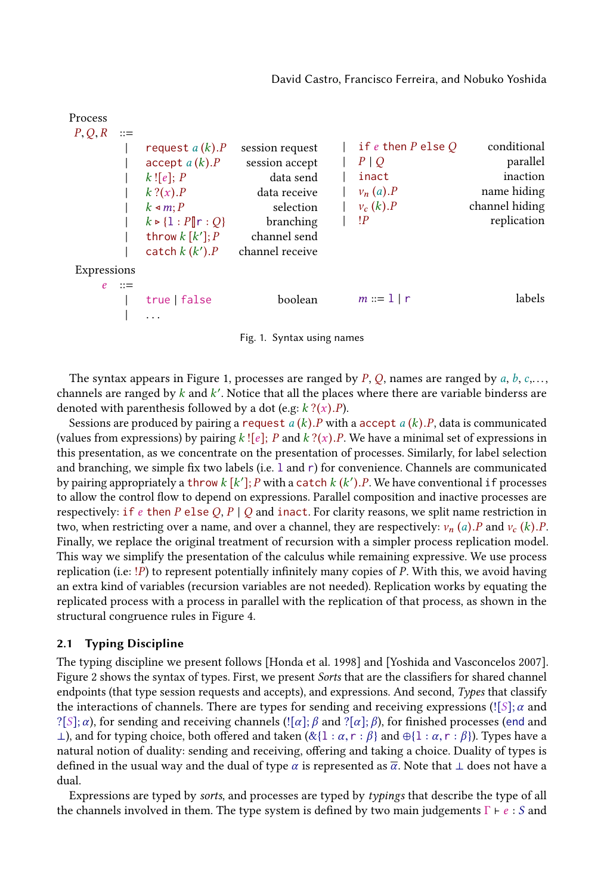#### <span id="page-3-0"></span>Process  $P, Q, R ::=$ | request  $a(k).P$  session request<br>| accept  $a(k).P$  session accept | accept  $a(k).P$ <br>|  $k![e]; P$ data send  $\begin{array}{ccc} | & k? (x). P & \text{data receive} \\ | & k \triangleleft m; P & \text{selection} \end{array}$  $k \le m; P$  selection<br> $k \ge 1 \cdot P\mathbb{I} \cdot Q$  branching  $\begin{array}{ccc} | & k \triangleright \{1:P \| r:Q\} & & \text{branching} \\ | & \text{through } k [k'] & p & \text{channel send} \end{array}$ | throw  $k[k']$ channel send | catch  $k(k)$ channel receive Expressions  $e$  ::= | true | false boolean  $| \cdot |$  . . . if  $e$  then  $P$  else  $Q$  conditional  $P | Q$  parallel | inact inaction  $| v_n (a).P$  name hiding<br> $| v_c (k).P$  channel hiding  $| v_c (k).P$  channel hiding<br> $| P |$ replication  $m ::= 1 | r$  labels

Fig. 1. Syntax using names

The syntax appears in Figure [1,](#page-3-0) processes are ranged by  $P$ ,  $Q$ , names are ranged by  $a$ ,  $b$ ,  $c$ ,..., channels are ranged by  $k$  and  $k'$ . Notice that all the places where there are variable binderss are denoted with parenthesis followed by a dot (e.g:  $k$  ?(x).P).

Sessions are produced by pairing a request  $a(k)$ . P with a accept  $a(k)$ . P, data is communicated (values from expressions) by pairing  $k$ ! [e]; P and  $k$ ? (x). P. We have a minimal set of expressions in this presentation, as we concentrate on the presentation of processes. Similarly, for label selection and branching, we simple fix two labels (i.e. l and r) for convenience. Channels are communicated by pairing appropriately a throw  $k[k']$ ; P with a catch  $k(k')$ . P. We have conventional if processes to allow the control flow to depend on expressions. Parallel composition and inactive processes are to allow the control flow to depend on expressions. Parallel composition and inactive processes are respectively: if e then P else Q, P | Q and inact. For clarity reasons, we split name restriction in two, when restricting over a name, and over a channel, they are respectively:  $v_n(a)$ . P and  $v_c(k)$ . P. Finally, we replace the original treatment of recursion with a simpler process replication model. This way we simplify the presentation of the calculus while remaining expressive. We use process replication (i.e: !P) to represent potentially infinitely many copies of P. With this, we avoid having an extra kind of variables (recursion variables are not needed). Replication works by equating the replicated process with a process in parallel with the replication of that process, as shown in the structural congruence rules in Figure [4.](#page-6-0)

#### <span id="page-3-1"></span>2.1 Typing Discipline

The typing discipline we present follows [\[Honda et al. 1998\]](#page-23-2) and [\[Yoshida and Vasconcelos 2007\]](#page-24-5). Figure [2](#page-4-1) shows the syntax of types. First, we present Sorts that are the classifiers for shared channel endpoints (that type session requests and accepts), and expressions. And second, Types that classify the interactions of channels. There are types for sending and receiving expressions (! $[S]$ ;  $\alpha$  and ?[S];  $\alpha$ ), for sending and receiving channels (![ $\alpha$ ];  $\beta$  and ?[ $\alpha$ ];  $\beta$ ), for finished processes (end and  $⊥$ ), and for typing choice, both offered and taken (&{1 : α, r : β} and ⊕{1 : α, r : β}). Types have a natural notion of duality: sending and receiving, offering and taking a choice. Duality of types is defined in the usual way and the dual of type  $\alpha$  is represented as  $\overline{\alpha}$ . Note that  $\perp$  does not have a dual.

Expressions are typed by sorts, and processes are typed by typings that describe the type of all the channels involved in them. The type system is defined by two main judgements  $\Gamma \vdash e : S$  and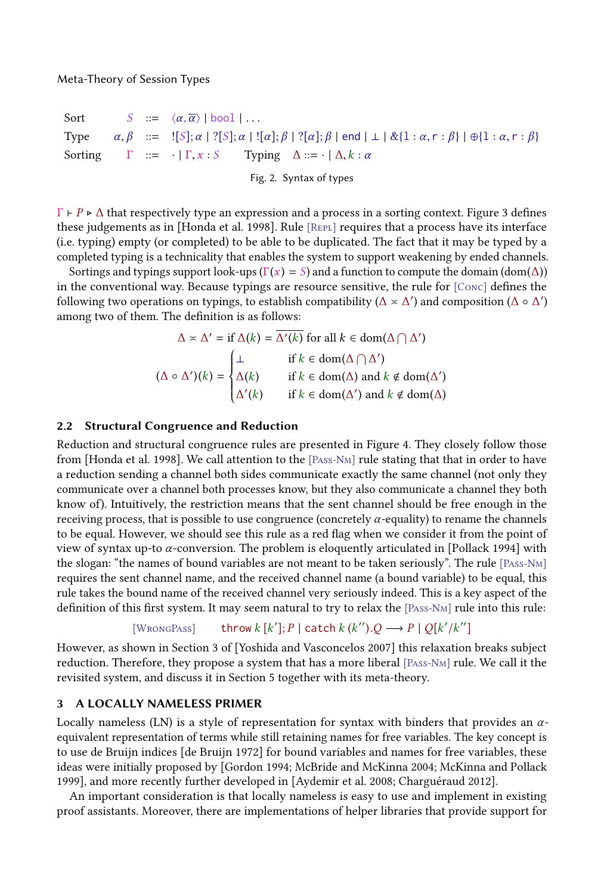<span id="page-4-1"></span>Sort  $S := \langle \alpha, \overline{\alpha} \rangle \mid \text{bool} \mid \dots$ <br>Type  $\alpha, \beta := \{S\}; \alpha \mid \{S\}; \alpha \mid \dots$ Type  $\alpha, \beta$  ::=  $\left[ [S]; \alpha \right] \left[ \alpha \right]$ ;  $\beta \left[ ?[\alpha]; \beta \right]$  end  $\left[ \bot \right] \& \left\{ 1 : \alpha, r : \beta \right\} \left[ \oplus \left\{ 1 : \alpha, r : \beta \right\} \right]$ <br>Sorting  $\Gamma$  ::=  $\cdot \mid \Gamma, x : S$  Typing  $\Delta ::= \cdot \mid \Delta, k : \alpha$  $\Gamma$  ::= ·  $|\Gamma, x : S$  Typing  $\Delta ::= \cdot | \Delta, k : \alpha$ 

Fig. 2. Syntax of types

 $\Gamma \vdash P \triangleright \Delta$  that respectively type an expression and a process in a sorting context. Figure [3](#page-5-0) defines these judgements as in [\[Honda et al.](#page-23-2) [1998\]](#page-23-2). Rule [REPL] requires that a process have its interface (i.e. typing) empty (or completed) to be able to be duplicated. The fact that it may be typed by a completed typing is a technicality that enables the system to support weakening by ended channels.

Sortings and typings support look-ups ( $\Gamma(x) = S$ ) and a function to compute the domain (dom( $\Delta$ )) in the conventional way. Because typings are resource sensitive, the rule for [Conc] defines the following two operations on typings, to establish compatibility ( $\Delta \times \Delta'$ ) and composition ( $\Delta \circ \Delta'$ ) among two of them. The definition is as follows: among two of them. The definition is as follows:

$$
\Delta \times \Delta' = \text{if } \Delta(k) = \overline{\Delta'(k)} \text{ for all } k \in \text{dom}(\Delta \cap \Delta')
$$

$$
(\Delta \circ \Delta')(k) = \begin{cases} \bot & \text{if } k \in \text{dom}(\Delta \cap \Delta') \\ \Delta(k) & \text{if } k \in \text{dom}(\Delta) \text{ and } k \notin \text{dom}(\Delta') \\ \Delta'(k) & \text{if } k \in \text{dom}(\Delta') \text{ and } k \notin \text{dom}(\Delta) \end{cases}
$$

#### <span id="page-4-2"></span>2.2 Structural Congruence and Reduction

Reduction and structural congruence rules are presented in Figure [4.](#page-6-0) They closely follow those from [\[Honda et al.](#page-23-2) [1998\]](#page-23-2). We call attention to the [Pass-Nm] rule stating that that in order to have a reduction sending a channel both sides communicate exactly the same channel (not only they communicate over a channel both processes know, but they also communicate a channel they both know of). Intuitively, the restriction means that the sent channel should be free enough in the receiving process, that is possible to use congruence (concretely  $\alpha$ -equality) to rename the channels to be equal. However, we should see this rule as a red flag when we consider it from the point of view of syntax up-to α-conversion. The problem is eloquently articulated in [\[Pollack 1994\]](#page-24-10) with the slogan: "the names of bound variables are not meant to be taken seriously". The rule [Pass-Nm] requires the sent channel name, and the received channel name (a bound variable) to be equal, this rule takes the bound name of the received channel very seriously indeed. This is a key aspect of the definition of this first system. It may seem natural to try to relax the [Pass-Nm] rule into this rule:

#### $[W$ rong $P$ ass $]$  $Y$ ]; P | catch  $k(k'')$ . Q  $\longrightarrow$  P | Q[ $k'/k''$ ]

However, as shown in Section 3 of [\[Yoshida and Vasconcelos 2007\]](#page-24-5) this relaxation breaks subject reduction. Therefore, they propose a system that has a more liberal [Pass-Nm] rule. We call it the revisited system, and discuss it in Section [5](#page-15-0) together with its meta-theory.

#### <span id="page-4-0"></span>3 A LOCALLY NAMELESS PRIMER

Locally nameless (LN) is a style of representation for syntax with binders that provides an  $\alpha$ equivalent representation of terms while still retaining names for free variables. The key concept is to use de Bruijn indices [\[de Bruijn 1972\]](#page-23-8) for bound variables and names for free variables, these ideas were initially proposed by [\[Gordon 1994;](#page-23-9) [McBride and McKinna 2004;](#page-24-11) [McKinna and Pollack](#page-24-12) [1999\]](#page-24-12), and more recently further developed in [\[Aydemir et al. 2008;](#page-22-0) [Charguéraud 2012\]](#page-22-1).

An important consideration is that locally nameless is easy to use and implement in existing proof assistants. Moreover, there are implementations of helper libraries that provide support for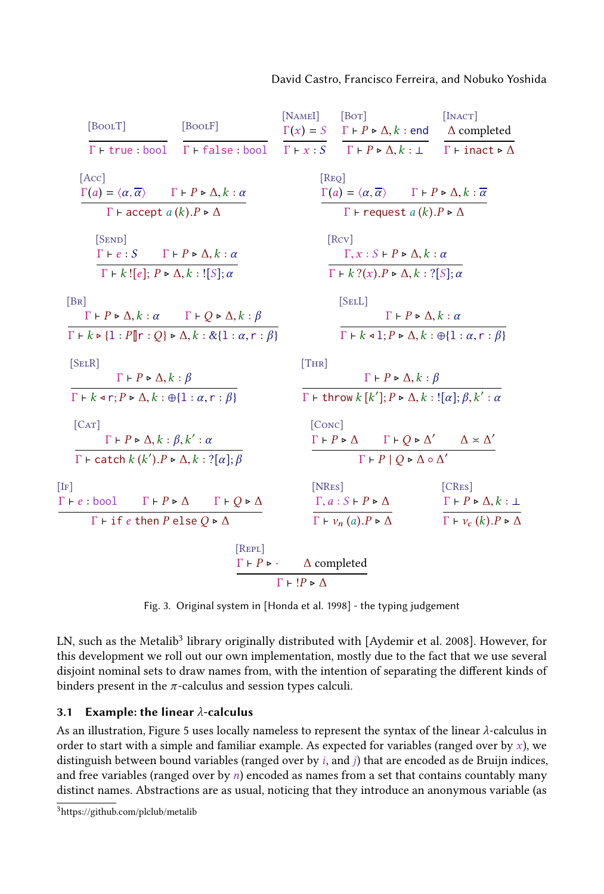#### David Castro, Francisco Ferreira, and Nobuko Yoshida

<span id="page-5-0"></span>

| [BoolT]                                                                                                                                                                                                                        | [BoolF]                                        | [NAME]                                                                                                    | [Bor]                                                                                                                                                               | [IMACT]<br>$\Gamma(x) = S \quad \Gamma \vdash P \triangleright \Delta, k :$ end $\Delta$ completed                                 |
|--------------------------------------------------------------------------------------------------------------------------------------------------------------------------------------------------------------------------------|------------------------------------------------|-----------------------------------------------------------------------------------------------------------|---------------------------------------------------------------------------------------------------------------------------------------------------------------------|------------------------------------------------------------------------------------------------------------------------------------|
|                                                                                                                                                                                                                                | $\Gamma$ + true : bool $\Gamma$ + false : bool |                                                                                                           |                                                                                                                                                                     | $\Gamma \vdash x : S \quad \Gamma \vdash P \triangleright \Delta, k : \bot \quad \Gamma \vdash \text{inact} \triangleright \Delta$ |
| [Acc]<br>$\Gamma(a) = \langle \alpha, \overline{\alpha} \rangle \qquad \Gamma \vdash P \triangleright \Delta, k : \alpha$                                                                                                      |                                                | [Rep]                                                                                                     | $\Gamma(a) = \langle \alpha, \overline{\alpha} \rangle \qquad \Gamma \vdash P \triangleright \Delta, k : \overline{\alpha}$                                         |                                                                                                                                    |
| $\Gamma$ + accept a $(k)$ . $P \triangleright \Delta$                                                                                                                                                                          |                                                |                                                                                                           | $\Gamma$ + request $a(k)$ . $P \triangleright \Delta$                                                                                                               |                                                                                                                                    |
| $[$ SEND $]$<br>$\Gamma \vdash e : S \qquad \Gamma \vdash P \triangleright \Delta, k : \alpha$<br>$\Gamma$ + k![e]; $P \triangleright \Delta, k$ : ![S]; $\alpha$                                                              |                                                |                                                                                                           | [RCV]<br>$\Gamma, x : S \vdash P \triangleright \Delta, k : \alpha$<br>$\Gamma$ + k ?(x). $P \triangleright \Delta, k$ : ?[S]; $\alpha$                             |                                                                                                                                    |
| [BR]<br>$\Gamma \vdash P \triangleright \Delta, k : \alpha$ $\Gamma \vdash Q \triangleright \Delta, k : \beta$<br>$\Gamma \vdash k \triangleright \{1 : P \  r : Q \} \triangleright \Delta, k : \& \{1 : \alpha, r : \beta\}$ |                                                |                                                                                                           | [SEL]<br>$\Gamma \vdash P \triangleright \Delta, k : \alpha$<br>$\Gamma \vdash k \triangleleft 1; P \triangleright \Delta, k : \bigoplus \{1 : \alpha, r : \beta\}$ |                                                                                                                                    |
| [SELR]<br>$\Gamma \vdash P \triangleright \Delta, k : \beta$                                                                                                                                                                   |                                                | [THR]                                                                                                     | $\Gamma \vdash P \triangleright \Delta, k : \beta$                                                                                                                  |                                                                                                                                    |
| $\Gamma \vdash k \triangleleft r; P \triangleright \Delta, k : \oplus \{1 : \alpha, r : \beta\}$                                                                                                                               |                                                |                                                                                                           | $\Gamma$ + throw $k$ $[k']$ ; $P \triangleright \Delta, k$ : $\left[ \alpha \right]$ ; $\beta, k'$ : $\alpha$                                                       |                                                                                                                                    |
| [CAT]<br>$\Gamma \vdash P \triangleright \Delta, k : \beta, k' : \alpha$                                                                                                                                                       |                                                | [Conc]                                                                                                    | $\Gamma \vdash P \triangleright \Delta$ $\Gamma \vdash Q \triangleright \Delta'$ $\Delta \times \Delta'$                                                            |                                                                                                                                    |
| $\Gamma$ + catch $k(k')$ . $P \triangleright \Delta, k$ : ? $[\alpha]$ ; $\beta$                                                                                                                                               |                                                |                                                                                                           | $\Gamma$ + $P$   $Q \triangleright \Delta \circ \Delta'$                                                                                                            |                                                                                                                                    |
| $[I_F]$<br>$\Gamma \vdash e : \text{bool}$ $\Gamma \vdash P \triangleright \Delta$ $\Gamma \vdash Q \triangleright \Delta$                                                                                                     |                                                | [NRes]                                                                                                    | $\Gamma, a : S \vdash P \triangleright \Delta$                                                                                                                      | [CRES]<br>$\Gamma \vdash P \triangleright \Delta, k : \bot$                                                                        |
| $\Gamma$ + if e then P else $Q \triangleright \Delta$                                                                                                                                                                          |                                                |                                                                                                           | $\overline{\Gamma \vdash v_n(a).P \triangleright \Delta}$                                                                                                           | $\Gamma \vdash v_c (k) . P \triangleright \Delta$                                                                                  |
|                                                                                                                                                                                                                                | [REPL]                                         | $\Gamma \vdash P \triangleright \cdot \quad \Delta$ completed<br>$\Gamma \vdash !P \triangleright \Delta$ |                                                                                                                                                                     |                                                                                                                                    |

Fig. 3. Original system in [\[Honda et al. 1998\]](#page-23-2) - the typing judgement

LN, such as the Metalib $^3$  $^3$  library originally distributed with [\[Aydemir et al.](#page-22-0) [2008\]](#page-22-0). However, for this development we roll out our own implementation, mostly due to the fact that we use several disjoint nominal sets to draw names from, with the intention of separating the different kinds of binders present in the  $\pi$ -calculus and session types calculi.

#### 3.1 Example: the linear  $\lambda$ -calculus

As an illustration, Figure [5](#page-6-1) uses locally nameless to represent the syntax of the linear λ-calculus in order to start with a simple and familiar example. As expected for variables (ranged over by  $x$ ), we distinguish between bound variables (ranged over by  $i$ , and  $j$ ) that are encoded as de Bruijn indices, and free variables (ranged over by  $n$ ) encoded as names from a set that contains countably many distinct names. Abstractions are as usual, noticing that they introduce an anonymous variable (as

<span id="page-5-1"></span><sup>3</sup><https://github.com/plclub/metalib>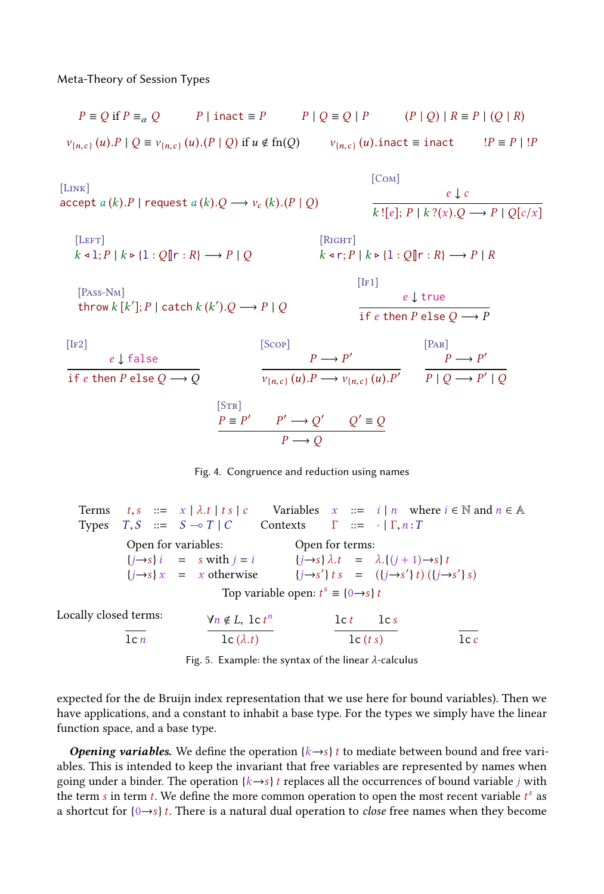[Link]

<span id="page-6-0"></span> $P \equiv O$  if  $P \equiv \alpha$  Q P | inact  $\equiv P$   $P | Q \equiv Q | P$   $(P | Q) | R \equiv P | (Q | R)$  $v_{n,c}$   $(u)$ . $P \mid Q \equiv v_{n,c}$   $(u)$ . $(P \mid Q)$  if  $u \notin \text{fn}(Q)$   $v_{n,c}$   $(u)$ . inact  $\equiv$  inact  $IP \equiv P \mid IP$ [C<sub>OM</sub>]

 $\text{accept } a (k) \text{.} P \mid \text{request } a (k) \text{.} Q \longrightarrow v_c (k) \text{.} (P \mid Q)$ e ↓ c  $k : [e]; P \mid k ?(x).Q \longrightarrow P \mid Q[c/x]$  $[LEFT]$  $k \triangleleft 1; P \mid k \triangleright \{1: Q \parallel r : R \} \longrightarrow P \mid Q$  $[R$ IGHT]  $k \triangleleft r$ ;  $P \mid k \triangleright \{1: Q \|\mathbf{r} : R\} \longrightarrow P \mid R$ [PASS-N<sub>M</sub>] throw  $k [k']$ ;  $P \mid$  catch  $k (k')$ .  $Q \longrightarrow P \mid Q$  $[IF1]$ e ↓ true if e then P else  $Q \longrightarrow P$  $[IF2]$ e ↓ false if  $e$  then  $P$  else  $Q \longrightarrow Q$ [Scop]  $P \longrightarrow P'$  $v_{\{n,c\}}(u) \to v_{\{n,c\}}(u) \to P'$ [P<sub>AR</sub>]  $P \longrightarrow P'$  $P | Q \longrightarrow P' | Q$  $[STR]$  $P \equiv P' \qquad P' \longrightarrow Q' \qquad Q' \equiv Q$  $P \longrightarrow Q$ 



<span id="page-6-1"></span>Terms  $t,s$  ::=  $x | \lambda.t |ts|c$  Variables  $x ::= i | n$  where  $i \in \mathbb{N}$  and  $n \in \mathbb{A}$ Types  $T, S$  ::=  $S \rightarrow T \mid C$  Contexts  $\Gamma$  ::=  $\cdot \mid \Gamma, n : T$ Open for variables:  ${j \rightarrow s}i = s$  with  $j = i$  ${j \rightarrow s} x = x$  otherwise Open for terms:  ${j \rightarrow s} \lambda.t = \lambda.(j + 1) \rightarrow s)t$  ${j \rightarrow s'}t s = (({j \rightarrow s'}t) (({j \rightarrow s'})s)$ Top variable open:  $t^s \equiv \{0 \rightarrow s\} t$ Locally closed terms:  $lcn$  $\frac{\forall n \notin L, \, \text{lc} \, t^n}{\sqrt{n}}$  $\mathrm{lc}\left(\lambda.t\right)$  $\operatorname{lc} t$   $\operatorname{lc} s$  $\operatorname{lc}(t \, s)$  lcc

Fig. 5. Example: the syntax of the linear  $\lambda$ -calculus

expected for the de Bruijn index representation that we use here for bound variables). Then we have applications, and a constant to inhabit a base type. For the types we simply have the linear function space, and a base type.

**Opening variables.** We define the operation  $\{k \rightarrow s\}$  t to mediate between bound and free variables. This is intended to keep the invariant that free variables are represented by names when going under a binder. The operation  $\{k \rightarrow s\} t$  replaces all the occurrences of bound variable j with the term s in term t. We define the more common operation to open the most recent variable  $t^s$  as a shortcut for  ${0 \rightarrow s}t$ . There is a natural dual operation to *close* free names when they become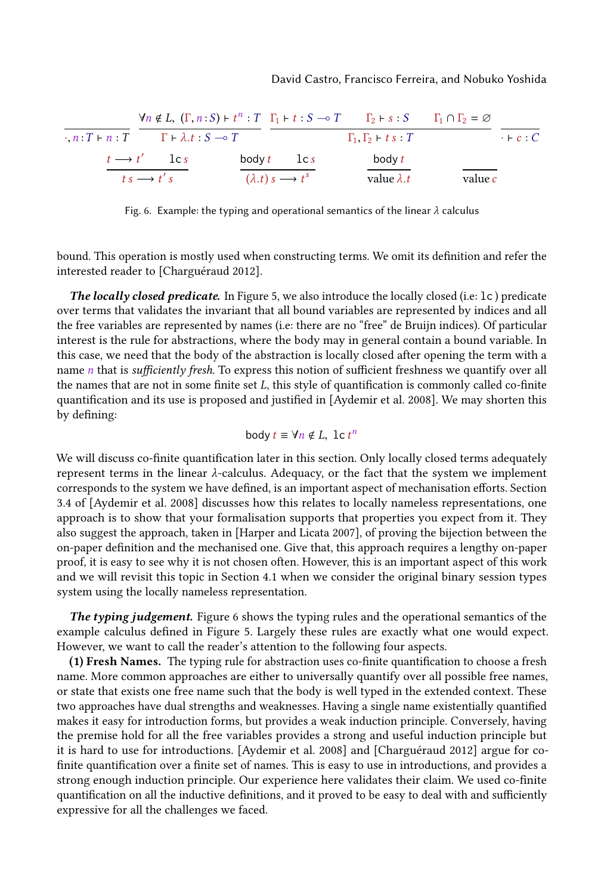#### David Castro, Francisco Ferreira, and Nobuko Yoshida

<span id="page-7-0"></span>

|                                                             |                                     | $\forall n \notin L$ , $(\Gamma, n : S) \vdash t^n : T \Gamma_1 \vdash t : S \multimap T \qquad \Gamma_2 \vdash s : S \qquad \Gamma_1 \cap \Gamma_2 = \varnothing$ |         |                 |
|-------------------------------------------------------------|-------------------------------------|--------------------------------------------------------------------------------------------------------------------------------------------------------------------|---------|-----------------|
| $\cdot$ , n : T + n : T + $\lambda$ , t : S $\rightarrow$ T |                                     | $\Gamma_1, \Gamma_2 \vdash t \ s : T$                                                                                                                              |         | $\cdot$ + c : C |
| $t \rightarrow t'$ lcs                                      | body $t$ lcs                        | body t                                                                                                                                                             |         |                 |
| $t s \longrightarrow t' s$                                  | $(\lambda.t) s \longrightarrow t^s$ | value $\lambda$ .t                                                                                                                                                 | value c |                 |

Fig. 6. Example: the typing and operational semantics of the linear  $\lambda$  calculus

bound. This operation is mostly used when constructing terms. We omit its definition and refer the interested reader to [\[Charguéraud 2012\]](#page-22-1).

The locally closed predicate. In Figure [5,](#page-6-1) we also introduce the locally closed (i.e: 1c) predicate over terms that validates the invariant that all bound variables are represented by indices and all the free variables are represented by names (i.e: there are no "free" de Bruijn indices). Of particular interest is the rule for abstractions, where the body may in general contain a bound variable. In this case, we need that the body of the abstraction is locally closed after opening the term with a name  $n$  that is sufficiently fresh. To express this notion of sufficient freshness we quantify over all the names that are not in some finite set  $L$ , this style of quantification is commonly called co-finite quantification and its use is proposed and justified in [\[Aydemir et al.](#page-22-0) [2008\]](#page-22-0). We may shorten this by defining:

body 
$$
t \equiv \forall n \notin L
$$
, lc  $t^n$ 

We will discuss co-finite quantification later in this section. Only locally closed terms adequately represent terms in the linear λ-calculus. Adequacy, or the fact that the system we implement corresponds to the system we have defined, is an important aspect of mechanisation efforts. Section 3.4 of [\[Aydemir et al.](#page-22-0) [2008\]](#page-22-0) discusses how this relates to locally nameless representations, one approach is to show that your formalisation supports that properties you expect from it. They also suggest the approach, taken in [\[Harper and Licata 2007\]](#page-23-10), of proving the bijection between the on-paper definition and the mechanised one. Give that, this approach requires a lengthy on-paper proof, it is easy to see why it is not chosen often. However, this is an important aspect of this work and we will revisit this topic in Section [4.1](#page-11-0) when we consider the original binary session types system using the locally nameless representation.

The typing judgement. Figure [6](#page-7-0) shows the typing rules and the operational semantics of the example calculus defined in Figure [5.](#page-6-1) Largely these rules are exactly what one would expect. However, we want to call the reader's attention to the following four aspects.

(1) Fresh Names. The typing rule for abstraction uses co-finite quantification to choose a fresh name. More common approaches are either to universally quantify over all possible free names, or state that exists one free name such that the body is well typed in the extended context. These two approaches have dual strengths and weaknesses. Having a single name existentially quantified makes it easy for introduction forms, but provides a weak induction principle. Conversely, having the premise hold for all the free variables provides a strong and useful induction principle but it is hard to use for introductions. [\[Aydemir et al.](#page-22-0) [2008\]](#page-22-0) and [\[Charguéraud 2012\]](#page-22-1) argue for cofinite quantification over a finite set of names. This is easy to use in introductions, and provides a strong enough induction principle. Our experience here validates their claim. We used co-finite quantification on all the inductive definitions, and it proved to be easy to deal with and sufficiently expressive for all the challenges we faced.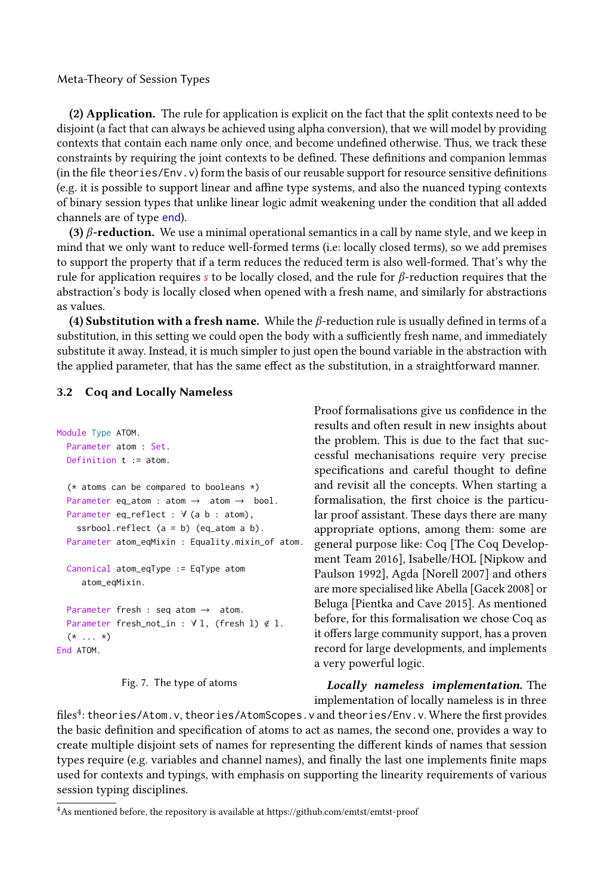(2) Application. The rule for application is explicit on the fact that the split contexts need to be disjoint (a fact that can always be achieved using alpha conversion), that we will model by providing contexts that contain each name only once, and become undefined otherwise. Thus, we track these constraints by requiring the joint contexts to be defined. These definitions and companion lemmas (in the file theories/Env.v) form the basis of our reusable support for resource sensitive definitions (e.g. it is possible to support linear and affine type systems, and also the nuanced typing contexts of binary session types that unlike linear logic admit weakening under the condition that all added channels are of type end).

(3)  $\beta$ -reduction. We use a minimal operational semantics in a call by name style, and we keep in mind that we only want to reduce well-formed terms (i.e: locally closed terms), so we add premises to support the property that if a term reduces the reduced term is also well-formed. That's why the rule for application requires s to be locally closed, and the rule for  $\beta$ -reduction requires that the abstraction's body is locally closed when opened with a fresh name, and similarly for abstractions as values.

(4) Substitution with a fresh name. While the  $\beta$ -reduction rule is usually defined in terms of a substitution, in this setting we could open the body with a sufficiently fresh name, and immediately substitute it away. Instead, it is much simpler to just open the bound variable in the abstraction with the applied parameter, that has the same effect as the substitution, in a straightforward manner.

#### 3.2 Coq and Locally Nameless

```
Module Type ATOM.
  Parameter atom : Set.
  Definition t := atom.
  (* atoms can be compared to booleans *)
  Parameter eq_atom : atom \rightarrow atom \rightarrow bool.
  Parameter eq_reflect : ∀ (a b : atom),
    ssrbool.reflect (a = b) (eq_atom a b).
  Parameter atom_eqMixin : Equality.mixin_of atom.
  Canonical atom_eqType := EqType atom
     atom_eqMixin.
  Parameter fresh : seq atom → atom.
  Parameter fresh_not_in : ∀ l, (fresh l) < l.
  (* \ldots *)End ATOM.
```
Fig. 7. The type of atoms

Proof formalisations give us confidence in the results and often result in new insights about the problem. This is due to the fact that successful mechanisations require very precise specifications and careful thought to define and revisit all the concepts. When starting a formalisation, the first choice is the particular proof assistant. These days there are many appropriate options, among them: some are general purpose like: Coq [\[The Coq Develop](#page-24-6)[ment Team 2016\]](#page-24-6), Isabelle/HOL [\[Nipkow and](#page-24-7) [Paulson 1992\]](#page-24-7), Agda [\[Norell 2007\]](#page-24-8) and others are more specialised like Abella [\[Gacek 2008\]](#page-23-11) or Beluga [\[Pientka and Cave 2015\]](#page-24-13). As mentioned before, for this formalisation we chose Coq as it offers large community support, has a proven record for large developments, and implements a very powerful logic.

Locally nameless implementation. The implementation of locally nameless is in three

files<sup>[4](#page-8-0)</sup>: theories/Atom.v, theories/AtomScopes.v and theories/Env.v. Where the first provides the basic definition and specification of atoms to act as names, the second one, provides a way to create multiple disjoint sets of names for representing the different kinds of names that session types require (e.g. variables and channel names), and finally the last one implements finite maps used for contexts and typings, with emphasis on supporting the linearity requirements of various session typing disciplines.

<span id="page-8-0"></span> ${}^{4}\mathrm{As}$  mentioned before, the repository is available at<https://github.com/emtst/emtst-proof>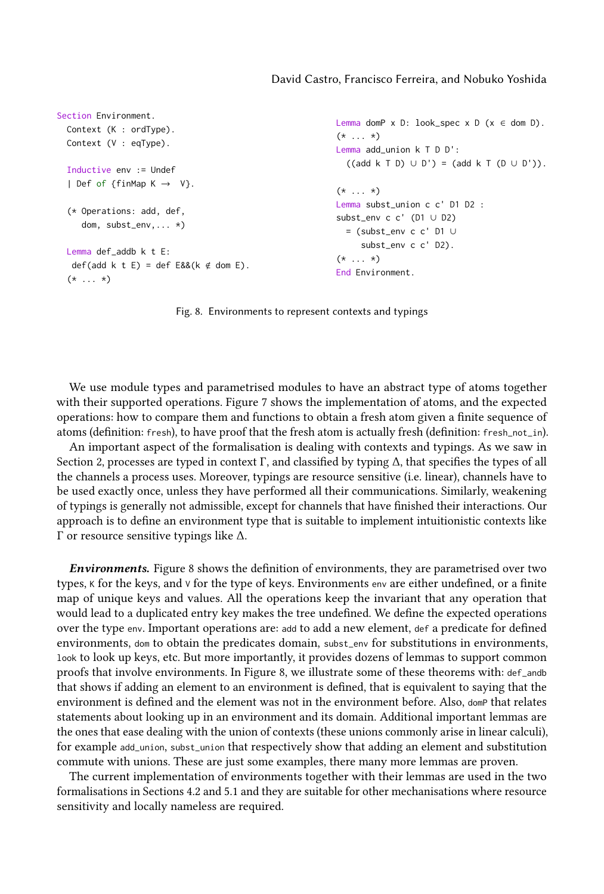```
Section Environment.
  Context (K : ordType).
  Context (V : eqType).
  Inductive env := Undef
  | Def of {finMap K \rightarrow V}.
  (* Operations: add, def,
     dom, subst_env,... *)
  Lemma def_addb k t E:
   def(add k t E) = def E&&(k \notin dom E).
  (* \ldots *)Lemma domP x D: look_spec x D (x \in dom D).
                                                             (* \ldots *)Lemma add_union k T D D':
                                                               ((add k T D) \cup D') = (add k T (D \cup D')).(* \ldots *)Lemma subst_union c c' D1 D2 :
                                                             subst_env c c' (D1 ∪ D2)
                                                               = (subst_env c c' D1 ∪
                                                                  subst_env c c' D2).
                                                             (* \ldots *)End Environment.
```
Fig. 8. Environments to represent contexts and typings

We use module types and parametrised modules to have an abstract type of atoms together with their supported operations. Figure [7](#page-8-1) shows the implementation of atoms, and the expected operations: how to compare them and functions to obtain a fresh atom given a finite sequence of atoms (definition: fresh), to have proof that the fresh atom is actually fresh (definition: fresh\_not\_in).

An important aspect of the formalisation is dealing with contexts and typings. As we saw in Section [2,](#page-2-0) processes are typed in context Γ, and classified by typing  $\Delta$ , that specifies the types of all the channels a process uses. Moreover, typings are resource sensitive (i.e. linear), channels have to be used exactly once, unless they have performed all their communications. Similarly, weakening of typings is generally not admissible, except for channels that have finished their interactions. Our approach is to define an environment type that is suitable to implement intuitionistic contexts like Γ or resource sensitive typings like ∆.

Environments. Figure [8](#page-9-0) shows the definition of environments, they are parametrised over two types,  $\kappa$  for the keys, and  $\vee$  for the type of keys. Environments env are either undefined, or a finite map of unique keys and values. All the operations keep the invariant that any operation that would lead to a duplicated entry key makes the tree undefined. We define the expected operations over the type env. Important operations are: add to add a new element, def a predicate for defined environments, dom to obtain the predicates domain, subst\_env for substitutions in environments, look to look up keys, etc. But more importantly, it provides dozens of lemmas to support common proofs that involve environments. In Figure [8,](#page-9-0) we illustrate some of these theorems with: def\_andb that shows if adding an element to an environment is defined, that is equivalent to saying that the environment is defined and the element was not in the environment before. Also, domP that relates statements about looking up in an environment and its domain. Additional important lemmas are the ones that ease dealing with the union of contexts (these unions commonly arise in linear calculi), for example add\_union, subst\_union that respectively show that adding an element and substitution commute with unions. These are just some examples, there many more lemmas are proven.

The current implementation of environments together with their lemmas are used in the two formalisations in Sections [4.2](#page-12-0) and [5.1](#page-17-0) and they are suitable for other mechanisations where resource sensitivity and locally nameless are required.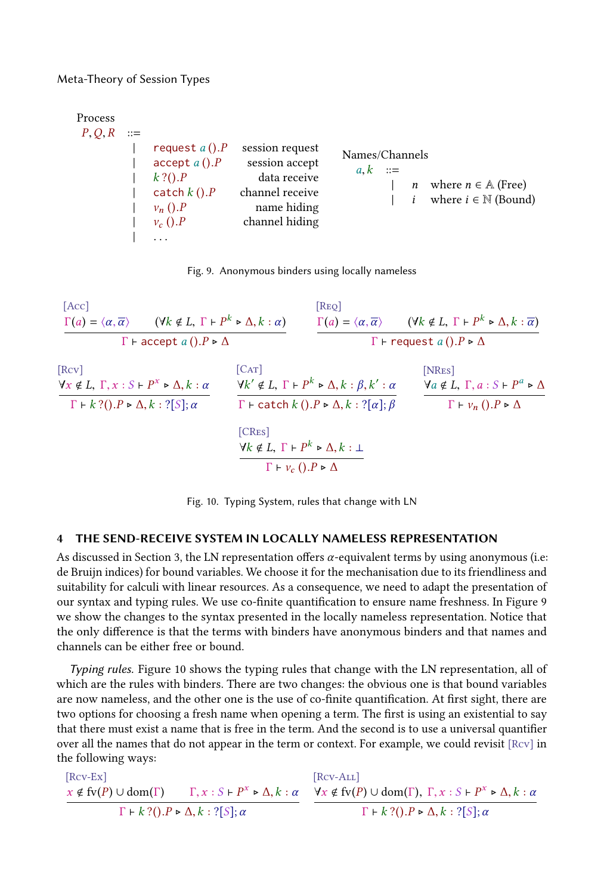<span id="page-10-1"></span>

| Process |       |                                                                                                                  |                                                                                                       |                                                                                                                      |
|---------|-------|------------------------------------------------------------------------------------------------------------------|-------------------------------------------------------------------------------------------------------|----------------------------------------------------------------------------------------------------------------------|
| P, Q, R | $::=$ | request $a()$ . $P$<br>accept $a()$ . $P$<br>$k$ ?(). $P$<br>catch $k()$ . $P$<br>$v_n$ (). $P$<br>$v_c($ ). $P$ | session request<br>session accept<br>data receive<br>channel receive<br>name hiding<br>channel hiding | Names/Channels<br>$a, k ::=$<br>where $n \in \mathbb{A}$ (Free)<br>$\mathfrak n$<br>where $i \in \mathbb{N}$ (Bound) |
|         |       |                                                                                                                  |                                                                                                       |                                                                                                                      |



<span id="page-10-2"></span>[Acc]  $\Gamma(a) = \langle \alpha, \overline{\alpha} \rangle$  ( $\forall k \notin L, \Gamma \vdash P^k \triangleright \Delta, k : \alpha$ )  $\Gamma$  ⊢ accept  $a$   $(), P \triangleright \Delta$ [REO]  $\Gamma(a) = \langle \alpha, \overline{\alpha} \rangle$  ( $\forall k \notin L, \Gamma \vdash P^k \triangleright \Delta, k : \overline{\alpha}$ )  $Γ ⊢ request a ().P ⊗ Δ$ [Rcv]  $\forall x \notin L, \Gamma, x : S \vdash P^x \triangleright \Delta, k : \alpha$  $\Gamma \vdash k ?( ). P \triangleright \Delta, k : ?[S]; \alpha$  $[CAT]$  $\forall k' \notin L, \Gamma \vdash P^k \triangleright \Delta, k : \beta, k' : \alpha$  $\Gamma$  ⊢ catch  $k$   $($ ). $P \triangleright \Delta, k : ?[\alpha]; \beta$ [NRes]  $\forall a \notin L, \Gamma, a : S \vdash P^a \triangleright \Delta$ <br> $\Gamma \vdash v_n () . P \triangleright \Delta$ [CRes]  $\forall k \notin L, \Gamma \vdash P^k \triangleright \Delta, k : \bot$  $\Gamma \vdash v_c$  (). $P \triangleright \Delta$ 

Fig. 10. Typing System, rules that change with LN

#### <span id="page-10-0"></span>THE SEND-RECEIVE SYSTEM IN LOCALLY NAMELESS REPRESENTATION

As discussed in Section [3,](#page-4-0) the LN representation offers  $\alpha$ -equivalent terms by using anonymous (i.e: de Bruijn indices) for bound variables. We choose it for the mechanisation due to its friendliness and suitability for calculi with linear resources. As a consequence, we need to adapt the presentation of our syntax and typing rules. We use co-finite quantification to ensure name freshness. In Figure [9](#page-10-1) we show the changes to the syntax presented in the locally nameless representation. Notice that the only difference is that the terms with binders have anonymous binders and that names and channels can be either free or bound.

Typing rules. Figure [10](#page-10-2) shows the typing rules that change with the LN representation, all of which are the rules with binders. There are two changes: the obvious one is that bound variables are now nameless, and the other one is the use of co-finite quantification. At first sight, there are two options for choosing a fresh name when opening a term. The first is using an existential to say that there must exist a name that is free in the term. And the second is to use a universal quantifier over all the names that do not appear in the term or context. For example, we could revisit [Rcv] in the following ways:

[Rcv-Ex]  $x \notin f_v(P) \cup dom(\Gamma)$  Γ,  $x : S \vdash P^x \triangleright \Delta, k : \alpha$  $\Gamma \vdash k ?( ). P \triangleright \Delta, k : ?[S]; \alpha$ [Rcv-ALL]  $\forall x \notin f(v(P) \cup \text{dom}(\Gamma), \Gamma, x : S \vdash P^x \triangleright \Delta, k : a$  $\Gamma \vdash k ?( ). P \triangleright \Delta, k : ?[S]; \alpha$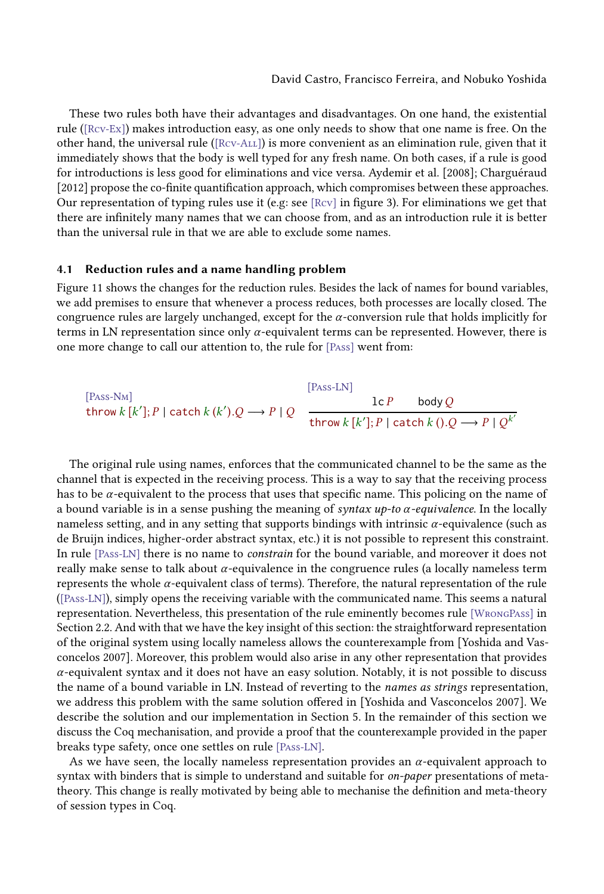These two rules both have their advantages and disadvantages. On one hand, the existential rule ([Rcv-Ex]) makes introduction easy, as one only needs to show that one name is free. On the other hand, the universal rule ([Rcv-All]) is more convenient as an elimination rule, given that it immediately shows that the body is well typed for any fresh name. On both cases, if a rule is good for introductions is less good for eliminations and vice versa. [Aydemir et al.](#page-22-0) [\[2008\]](#page-22-0); [Charguéraud](#page-22-1) [\[2012\]](#page-22-1) propose the co-finite quantification approach, which compromises between these approaches. Our representation of typing rules use it (e.g: see [Rcv] in figure [3\)](#page-5-0). For eliminations we get that there are infinitely many names that we can choose from, and as an introduction rule it is better than the universal rule in that we are able to exclude some names.

#### <span id="page-11-0"></span>4.1 Reduction rules and a name handling problem

Figure [11](#page-12-1) shows the changes for the reduction rules. Besides the lack of names for bound variables, we add premises to ensure that whenever a process reduces, both processes are locally closed. The congruence rules are largely unchanged, except for the  $\alpha$ -conversion rule that holds implicitly for terms in LN representation since only  $\alpha$ -equivalent terms can be represented. However, there is one more change to call our attention to, the rule for [Pass] went from:

[Pass-NM]  
\n
$$
[\text{Pass-LM}]
$$
\n
$$
\text{L}P \text{ body } Q
$$
\n
$$
\text{L}P \text{ body } Q
$$
\n
$$
\text{L}P \text{ body } Q
$$
\n
$$
\text{L}P \text{ body } Q
$$

The original rule using names, enforces that the communicated channel to be the same as the channel that is expected in the receiving process. This is a way to say that the receiving process has to be  $\alpha$ -equivalent to the process that uses that specific name. This policing on the name of a bound variable is in a sense pushing the meaning of syntax up-to  $\alpha$ -equivalence. In the locally nameless setting, and in any setting that supports bindings with intrinsic  $\alpha$ -equivalence (such as de Bruijn indices, higher-order abstract syntax, etc.) it is not possible to represent this constraint. In rule [Pass-LN] there is no name to *constrain* for the bound variable, and moreover it does not really make sense to talk about  $\alpha$ -equivalence in the congruence rules (a locally nameless term represents the whole  $\alpha$ -equivalent class of terms). Therefore, the natural representation of the rule ([Pass-LN]), simply opens the receiving variable with the communicated name. This seems a natural representation. Nevertheless, this presentation of the rule eminently becomes rule [WrongPass] in Section [2.2.](#page-4-2) And with that we have the key insight of this section: the straightforward representation of the original system using locally nameless allows the counterexample from [\[Yoshida and Vas](#page-24-5)[concelos 2007\]](#page-24-5). Moreover, this problem would also arise in any other representation that provides  $\alpha$ -equivalent syntax and it does not have an easy solution. Notably, it is not possible to discuss the name of a bound variable in LN. Instead of reverting to the names as strings representation, we address this problem with the same solution offered in [\[Yoshida and Vasconcelos 2007\]](#page-24-5). We describe the solution and our implementation in Section [5.](#page-15-0) In the remainder of this section we discuss the Coq mechanisation, and provide a proof that the counterexample provided in the paper breaks type safety, once one settles on rule [Pass-LN].

As we have seen, the locally nameless representation provides an  $\alpha$ -equivalent approach to syntax with binders that is simple to understand and suitable for on-paper presentations of metatheory. This change is really motivated by being able to mechanise the definition and meta-theory of session types in Coq.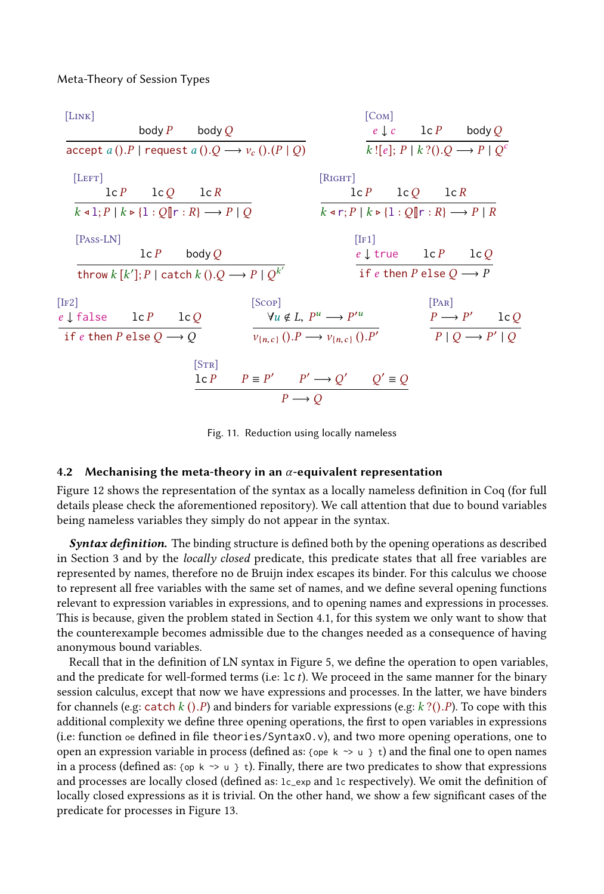<span id="page-12-1"></span>

| [LINK]                                                            |                   |                                                                                                 |        |                                                           | [COM]             |                                        |                                                                                                     |  |
|-------------------------------------------------------------------|-------------------|-------------------------------------------------------------------------------------------------|--------|-----------------------------------------------------------|-------------------|----------------------------------------|-----------------------------------------------------------------------------------------------------|--|
|                                                                   |                   | body $P$ body $Q$                                                                               |        |                                                           |                   |                                        | $e \downarrow c$ $1 \in P$ body Q                                                                   |  |
| $accept a (). P$ request $a (). Q \rightarrow v_c (). (P \mid Q)$ |                   |                                                                                                 |        |                                                           |                   |                                        | $k![e]; P   k?() . Q \longrightarrow P   Qc$                                                        |  |
| [LEFT]                                                            |                   |                                                                                                 |        | [RIGHT]                                                   |                   |                                        |                                                                                                     |  |
|                                                                   | $lcP$ $lcQ$ $lcR$ |                                                                                                 |        |                                                           | $lcP$ $lcQ$ $lcR$ |                                        |                                                                                                     |  |
|                                                                   |                   | $k \triangleleft 1; P \mid k \triangleright \{1: Q \parallel r : R \} \longrightarrow P \mid Q$ |        |                                                           |                   |                                        | $k \triangleleft r$ ; $P \mid k \triangleright \{1 : Q \parallel r : R \} \longrightarrow P \mid R$ |  |
| $[Pass-LN]$                                                       |                   |                                                                                                 |        |                                                           | [IF1]             |                                        |                                                                                                     |  |
|                                                                   |                   | $lc P$ body Q                                                                                   |        |                                                           |                   |                                        | $e \downarrow$ true $1c P$ $1c Q$                                                                   |  |
|                                                                   |                   | throw $k [k']$ ; $P   \text{catch } k$ (). $Q \longrightarrow P   Q^{k'}$                       |        |                                                           |                   | if e then P else $Q \longrightarrow P$ |                                                                                                     |  |
| [IF2]                                                             |                   |                                                                                                 | [Scop] |                                                           |                   | [PAR]                                  |                                                                                                     |  |
| $e \downarrow$ false $\qquad \qquad$ lc $P$ $\qquad$ lc $Q$       |                   |                                                                                                 |        | $\forall u \notin L, P^u \longrightarrow P'^u$            |                   |                                        | $P \longrightarrow P'$ lc Q                                                                         |  |
| if e then P else $Q \longrightarrow Q$                            |                   |                                                                                                 |        | $v_{n,c}$ (). $P \longrightarrow v_{n,c}$ (). $P'$        |                   |                                        | $P \mid Q \longrightarrow P' \mid Q$                                                                |  |
|                                                                   |                   | [STR]                                                                                           |        |                                                           |                   |                                        |                                                                                                     |  |
|                                                                   |                   |                                                                                                 |        | $1 \in P$ $P \equiv P'$ $P' \rightarrow Q'$ $Q' \equiv Q$ |                   |                                        |                                                                                                     |  |
|                                                                   |                   |                                                                                                 |        | $P \rightarrow Q$                                         |                   |                                        |                                                                                                     |  |

Fig. 11. Reduction using locally nameless

#### <span id="page-12-0"></span>4.2 Mechanising the meta-theory in an  $\alpha$ -equivalent representation

Figure [12](#page-13-0) shows the representation of the syntax as a locally nameless definition in Coq (for full details please check the aforementioned repository). We call attention that due to bound variables being nameless variables they simply do not appear in the syntax.

**Syntax definition.** The binding structure is defined both by the opening operations as described in Section [3](#page-4-0) and by the locally closed predicate, this predicate states that all free variables are represented by names, therefore no de Bruijn index escapes its binder. For this calculus we choose to represent all free variables with the same set of names, and we define several opening functions relevant to expression variables in expressions, and to opening names and expressions in processes. This is because, given the problem stated in Section [4.1,](#page-11-0) for this system we only want to show that the counterexample becomes admissible due to the changes needed as a consequence of having anonymous bound variables.

Recall that in the definition of LN syntax in Figure [5,](#page-6-1) we define the operation to open variables, and the predicate for well-formed terms (i.e:  $\text{lc } t$ ). We proceed in the same manner for the binary session calculus, except that now we have expressions and processes. In the latter, we have binders for channels (e.g: catch k  $(.)$  P) and binders for variable expressions (e.g: k? $(.)$  P). To cope with this additional complexity we define three opening operations, the first to open variables in expressions (i.e: function oe defined in file theories/SyntaxO.v), and two more opening operations, one to open an expression variable in process (defined as: {ope  $k \sim u$  } t) and the final one to open names in a process (defined as: {op k  $\sim$  u } t). Finally, there are two predicates to show that expressions and processes are locally closed (defined as: lc\_exp and lc respectively). We omit the definition of locally closed expressions as it is trivial. On the other hand, we show a few significant cases of the predicate for processes in Figure [13.](#page-13-1)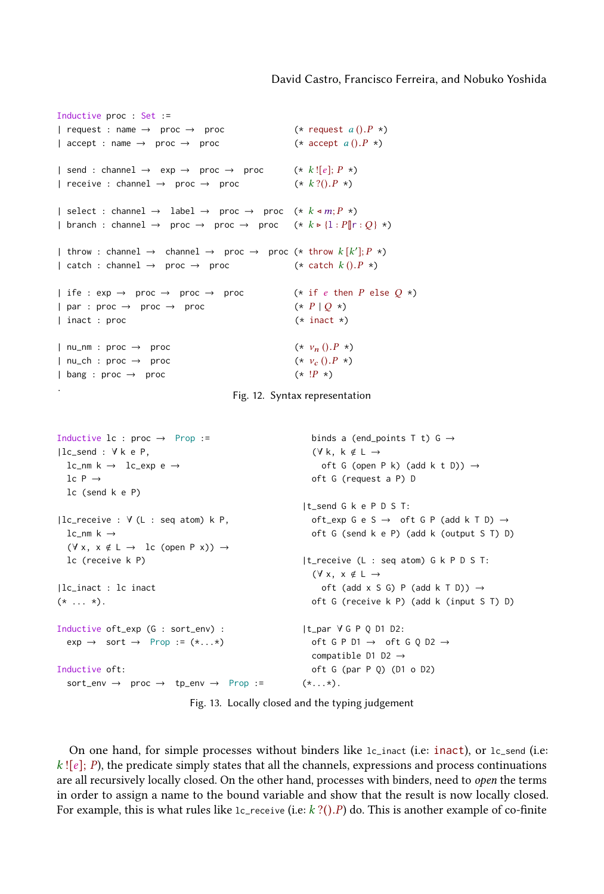```
Inductive proc : Set :=
| request : name \rightarrow proc \rightarrow proc \rightarrow (* request a ().P *)<br>| accept : name \rightarrow proc \rightarrow proc \rightarrow (* accept a ().P *)
| accept : name \rightarrow proc \rightarrow proc
| send : channel \rightarrow exp \rightarrow proc \rightarrow proc (* k![e]; P *)<br>| receive : channel \rightarrow proc \rightarrow proc (* k?().P *)
| receive : channel \rightarrow proc \rightarrow proc
| select : channel \rightarrow label \rightarrow proc \rightarrow proc (* k \triangleleft m; P \triangleleft )| branch : channel \rightarrow proc \rightarrow proc \rightarrow proc (* k > {1 : P[|r : Q} *)
| throw : channel \rightarrow channel \rightarrow proc \rightarrow proc (* throw k[k']; P *)
| catch : channel \rightarrow proc \rightarrow proc (* catch k ().P *)
| ife : \exp \rightarrow \text{proc} \rightarrow \text{proc} \rightarrow \text{proc} (* if e then P else Q *)<br>| par : \text{proc} \rightarrow \text{proc} \rightarrow \text{proc} (* P | O \times)
\begin{array}{ccc} | \text{ par : proc } \rightarrow & \text{ proc } \rightarrow & \text{ proc } \end{array}<br>
\begin{array}{ccc} | \text{ inact : proc } & \rightarrow & \text{ proc } & \text{ (* inact *)} \end{array}| inact : proc
| nu_nm : proc → proc \star v_n() \cdot P \star<br>| nu_ch : proc → proc \star v_c() \cdot P \star)
\begin{array}{ccc} | \text{ nu\_ch} : \text{ proc} \rightarrow \text{ proc} \end{array}<br>
\begin{array}{ccc} | \text{ bang} : \text{ proc} \rightarrow \text{ proc} \end{array} (* \begin{array}{ccc} \text{y}_c ().P \end{array}| bang : proc \rightarrow proc
```
.

Fig. 12. Syntax representation

```
Inductive lc : proc \rightarrow Prop :=|lc_send : ∀ k e P,
  lc_nm k \rightarrow lc_exp e \rightarrowlc P \rightarrowlc (send k e P)
|lc_receive : ∀ (L : seq atom) k P,
  lc_nm k \rightarrow(\forall x, x \notin L \rightarrow \text{lc} (\text{open } P x)) \rightarrowlc (receive k P)
|lc_inact : lc inact
(* \ldots *).Inductive oft_exp (G : sort_env) :
  exp \rightarrow sort \rightarrow Prop := (*...*)Inductive oft:
  sort_env → proc → tp_env → Prop :=
                                                                binds a (end_points T t) G \rightarrow(\forall k, k \notin L \rightarrowoft G (open P k) (add k t D)) \rightarrowoft G (request a P) D
                                                             |t_send G k e P D S T:
                                                                oft_exp G e S \rightarrow oft G P (add k T D) \rightarrowoft G (send k e P) (add k (output S T) D)
                                                             |t_receive (L : seq atom) G k P D S T:
                                                                (\forall x, x \notin L \rightarrowoft (add x S G) P (add k T D)) \rightarrowoft G (receive k P) (add k (input S T) D)
                                                            |t_par ∀ G P Q D1 D2:
                                                               oft G P D1 \rightarrow oft G Q D2 \rightarrowcompatible D1 D2 \rightarrowoft G (par P Q) (D1 o D2)
                                                              (*\ldots*).
```
Fig. 13. Locally closed and the typing judgement

On one hand, for simple processes without binders like lc\_inact (i.e: inact), or lc\_send (i.e:  $k$  ![e]; P), the predicate simply states that all the channels, expressions and process continuations are all recursively locally closed. On the other hand, processes with binders, need to open the terms in order to assign a name to the bound variable and show that the result is now locally closed. For example, this is what rules like  $1c$ -receive (i.e:  $k$  ?(). P) do. This is another example of co-finite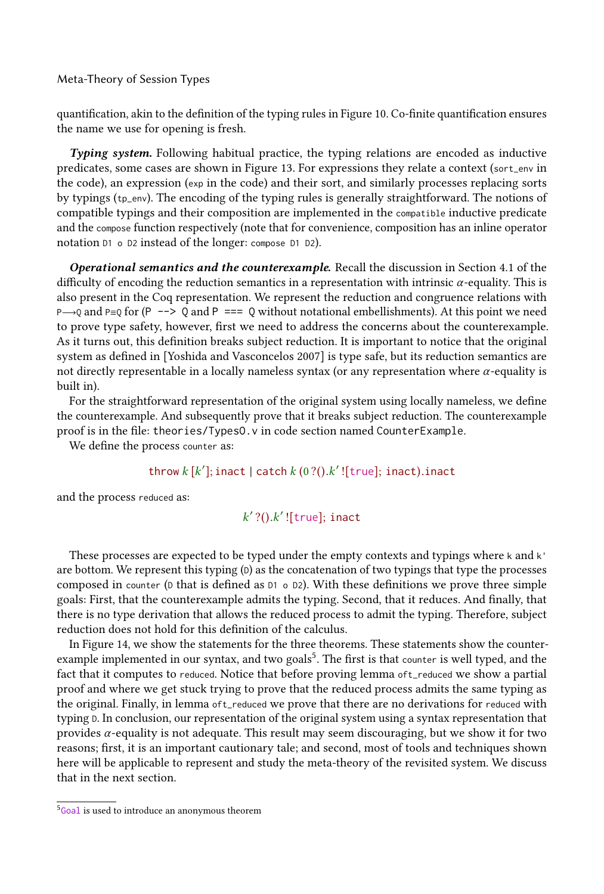quantification, akin to the definition of the typing rules in Figure [10.](#page-10-2) Co-finite quantification ensures the name we use for opening is fresh.

Typing system. Following habitual practice, the typing relations are encoded as inductive predicates, some cases are shown in Figure [13.](#page-13-1) For expressions they relate a context (sort\_env in the code), an expression (exp in the code) and their sort, and similarly processes replacing sorts by typings (tp\_env). The encoding of the typing rules is generally straightforward. The notions of compatible typings and their composition are implemented in the compatible inductive predicate and the compose function respectively (note that for convenience, composition has an inline operator notation D1 o D2 instead of the longer: compose D1 D2).

Operational semantics and the counterexample. Recall the discussion in Section [4.1](#page-11-0) of the difficulty of encoding the reduction semantics in a representation with intrinsic α-equality. This is also present in the Coq representation. We represent the reduction and congruence relations with P→Q and P≡Q for (P --> Q and P === Q without notational embellishments). At this point we need to prove type safety, however, first we need to address the concerns about the counterexample. As it turns out, this definition breaks subject reduction. It is important to notice that the original system as defined in [\[Yoshida and Vasconcelos 2007\]](#page-24-5) is type safe, but its reduction semantics are not directly representable in a locally nameless syntax (or any representation where  $\alpha$ -equality is built in).

For the straightforward representation of the original system using locally nameless, we define the counterexample. And subsequently prove that it breaks subject reduction. The counterexample proof is in the file: theories/TypesO.v in code section named CounterExample.

We define the process counter as:

# throw  $k$  [ $k'$ ]; inact | catch  $k$  (0 ?(). $k'$  ![true]; inact).inact

and the process reduced as:

# $k'$  ?(). $k'$  ![true]; inact

These processes are expected to be typed under the empty contexts and typings where <sup>k</sup> and k' are bottom. We represent this typing (D) as the concatenation of two typings that type the processes composed in counter ( $D$  that is defined as  $D1 \circ D2$ ). With these definitions we prove three simple goals: First, that the counterexample admits the typing. Second, that it reduces. And finally, that there is no type derivation that allows the reduced process to admit the typing. Therefore, subject reduction does not hold for this definition of the calculus.

In Figure [14,](#page-15-1) we show the statements for the three theorems. These statements show the counter-example implemented in our syntax, and two goals<sup>[5](#page-14-0)</sup>. The first is that counter is well typed, and the fact that it computes to reduced. Notice that before proving lemma oft\_reduced we show a partial proof and where we get stuck trying to prove that the reduced process admits the same typing as the original. Finally, in lemma oft\_reduced we prove that there are no derivations for reduced with typing <sup>D</sup>. In conclusion, our representation of the original system using a syntax representation that provides  $\alpha$ -equality is not adequate. This result may seem discouraging, but we show it for two reasons; first, it is an important cautionary tale; and second, most of tools and techniques shown here will be applicable to represent and study the meta-theory of the revisited system. We discuss that in the next section.

<span id="page-14-0"></span><sup>&</sup>lt;sup>5</sup>Goal is used to introduce an anonymous theorem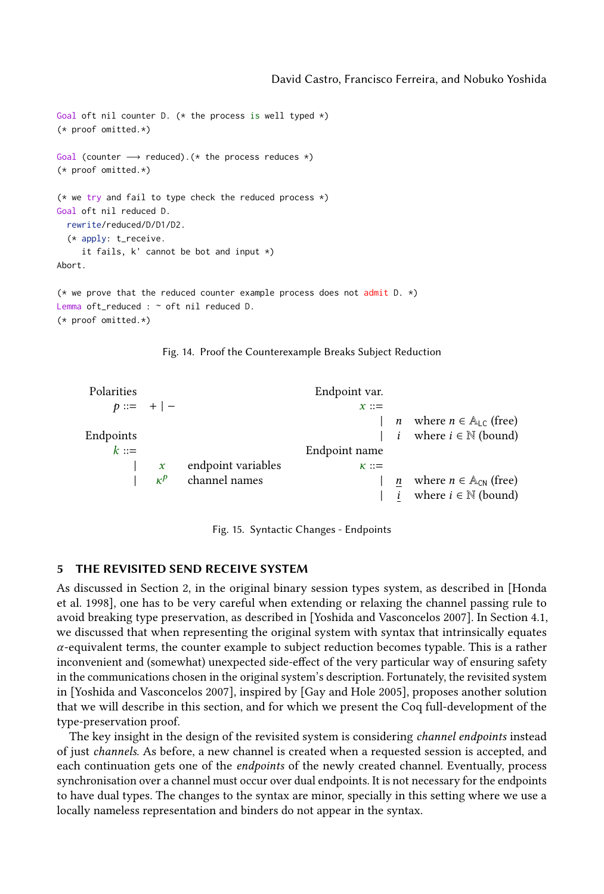```
Goal oft nil counter D. (* the process is well typed *)(* proof omitted.*)
Goal (counter → reduced).(* the process reduces *)
(* proof omitted.*)
(* we try and fail to type check the reduced process \star)
Goal oft nil reduced D.
  rewrite/reduced/D/D1/D2.
  (* apply: t_receive.
    it fails, k' cannot be bot and input *)
Abort.
(* we prove that the reduced counter example process does not admit D. *)
Lemma oft_reduced : ~ oft nil reduced D.
(* proof omitted.*)
```


<span id="page-15-2"></span>

| Polarities |               |                          | Endpoint var. |                                               |
|------------|---------------|--------------------------|---------------|-----------------------------------------------|
|            | $p ::= +   -$ |                          | $x ::=$       |                                               |
|            |               |                          |               | <i>n</i> where $n \in \mathbb{A}_{LC}$ (free) |
| Endpoints  |               |                          |               | <i>i</i> where $i \in \mathbb{N}$ (bound)     |
| $k ::=$    |               |                          | Endpoint name |                                               |
|            |               | endpoint variables       | $\kappa ::=$  |                                               |
|            |               | $\kappa^p$ channel names |               | where $n \in A_{CN}$ (free)                   |
|            |               |                          |               | where $i \in \mathbb{N}$ (bound)              |

Fig. 15. Syntactic Changes - Endpoints

#### <span id="page-15-0"></span>5 THE REVISITED SEND RECEIVE SYSTEM

As discussed in Section [2,](#page-2-0) in the original binary session types system, as described in [\[Honda](#page-23-2) [et al.](#page-23-2) [1998\]](#page-23-2), one has to be very careful when extending or relaxing the channel passing rule to avoid breaking type preservation, as described in [\[Yoshida and Vasconcelos 2007\]](#page-24-5). In Section [4.1,](#page-11-0) we discussed that when representing the original system with syntax that intrinsically equates  $\alpha$ -equivalent terms, the counter example to subject reduction becomes typable. This is a rather inconvenient and (somewhat) unexpected side-effect of the very particular way of ensuring safety in the communications chosen in the original system's description. Fortunately, the revisited system in [\[Yoshida and Vasconcelos 2007\]](#page-24-5), inspired by [\[Gay and Hole 2005\]](#page-23-12), proposes another solution that we will describe in this section, and for which we present the Coq full-development of the type-preservation proof.

The key insight in the design of the revisited system is considering *channel endpoints* instead of just channels. As before, a new channel is created when a requested session is accepted, and each continuation gets one of the endpoints of the newly created channel. Eventually, process synchronisation over a channel must occur over dual endpoints. It is not necessary for the endpoints to have dual types. The changes to the syntax are minor, specially in this setting where we use a locally nameless representation and binders do not appear in the syntax.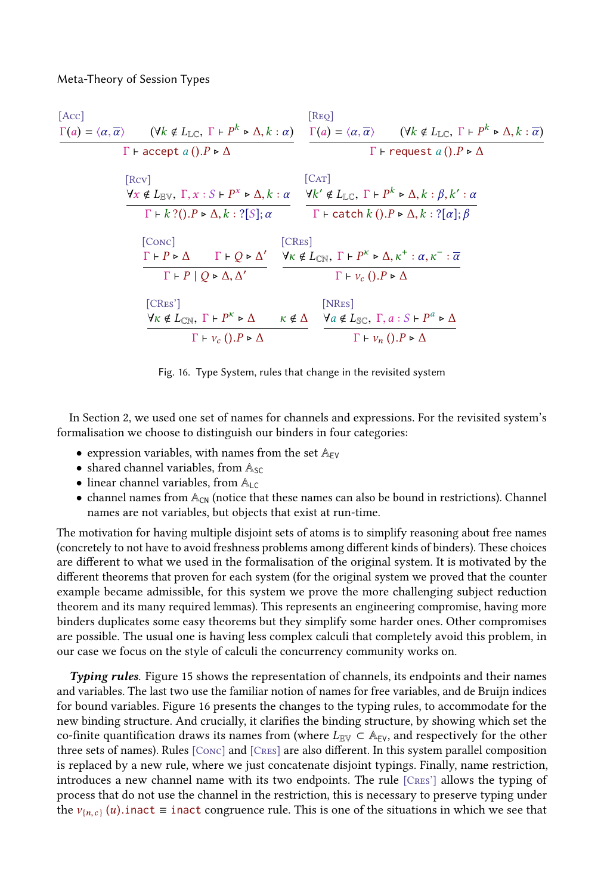<span id="page-16-0"></span>[Acc]  
\n
$$
\frac{\Gamma(a) = \langle \alpha, \overline{\alpha} \rangle \qquad (\forall k \notin L_{\mathbb{LC}}, \Gamma \vdash P^{k} \triangleright \Delta, k : \alpha) \qquad \frac{\Gamma(a) = \langle \alpha, \overline{\alpha} \rangle \qquad (\forall k \notin L_{\mathbb{LC}}, \Gamma \vdash P^{k} \triangleright \Delta, k : \overline{\alpha})}{\Gamma \vdash \text{accept } a ().P \triangleright \Delta}
$$
\n[Rev]  
\n
$$
\frac{\forall x \notin L_{\mathbb{RV}}, \Gamma, x : S \vdash P^{x} \triangleright \Delta, k : \alpha}{\Gamma \vdash k ?().P \triangleright \Delta, k : ?[S]; \alpha} \qquad \frac{\forall k' \notin L_{\mathbb{LC}}, \Gamma \vdash P^{k} \triangleright \Delta, k : \beta, k' : \alpha}{\Gamma \vdash \text{catch } k ().P \triangleright \Delta, k : ?[\alpha]; \beta}
$$
\n[Cone]  
\n
$$
\frac{\Gamma \vdash P \triangleright \Delta}{\Gamma \vdash P \vert Q \triangleright \Delta, \Delta'} \qquad \frac{\Gamma \vdash Q \triangleright \Delta'}{\Gamma \vdash V_{c} ().P \triangleright \Delta} \qquad \frac{\Gamma \vdash P^{k} \triangleright \Delta, k^{+} : \alpha, k^{-} : \overline{\alpha}}{\Gamma \vdash V_{c} ().P \triangleright \Delta}
$$
\n[CRes']  
\n
$$
\frac{\forall k \notin L_{\mathbb{CN}}, \Gamma \vdash P^{k} \triangleright \Delta \qquad k \notin \Delta}{\Gamma \vdash V_{c} ().P \triangleright \Delta} \qquad \frac{\text{[NRes]}}{\Gamma \vdash V_{n} ().P \triangleright \Delta} \qquad \frac{\text{[NRes]}}{\Gamma \vdash V_{n} ().P \triangleright \Delta}
$$

Fig. 16. Type System, rules that change in the revisited system

In Section [2,](#page-2-0) we used one set of names for channels and expressions. For the revisited system's formalisation we choose to distinguish our binders in four categories:

- expression variables, with names from the set  $A_{EV}$
- shared channel variables, from  $A_{SC}$
- linear channel variables, from  $A_{LC}$
- $\bullet$  channel names from  $\mathbb{A}_{\text{CN}}$  (notice that these names can also be bound in restrictions). Channel names are not variables, but objects that exist at run-time.

The motivation for having multiple disjoint sets of atoms is to simplify reasoning about free names (concretely to not have to avoid freshness problems among different kinds of binders). These choices are different to what we used in the formalisation of the original system. It is motivated by the different theorems that proven for each system (for the original system we proved that the counter example became admissible, for this system we prove the more challenging subject reduction theorem and its many required lemmas). This represents an engineering compromise, having more binders duplicates some easy theorems but they simplify some harder ones. Other compromises are possible. The usual one is having less complex calculi that completely avoid this problem, in our case we focus on the style of calculi the concurrency community works on.

Typing rules. Figure [15](#page-15-2) shows the representation of channels, its endpoints and their names and variables. The last two use the familiar notion of names for free variables, and de Bruijn indices for bound variables. Figure [16](#page-16-0) presents the changes to the typing rules, to accommodate for the new binding structure. And crucially, it clarifies the binding structure, by showing which set the co-finite quantification draws its names from (where  $L_{E\text{V}} \subset A_{E\text{V}}$ , and respectively for the other three sets of names). Rules [Conc] and [Cres] are also different. In this system parallel composition is replaced by a new rule, where we just concatenate disjoint typings. Finally, name restriction, introduces a new channel name with its two endpoints. The rule [Cres'] allows the typing of process that do not use the channel in the restriction, this is necessary to preserve typing under the  $v_{\{n,c\}}(u)$ .inact  $\equiv$  inact congruence rule. This is one of the situations in which we see that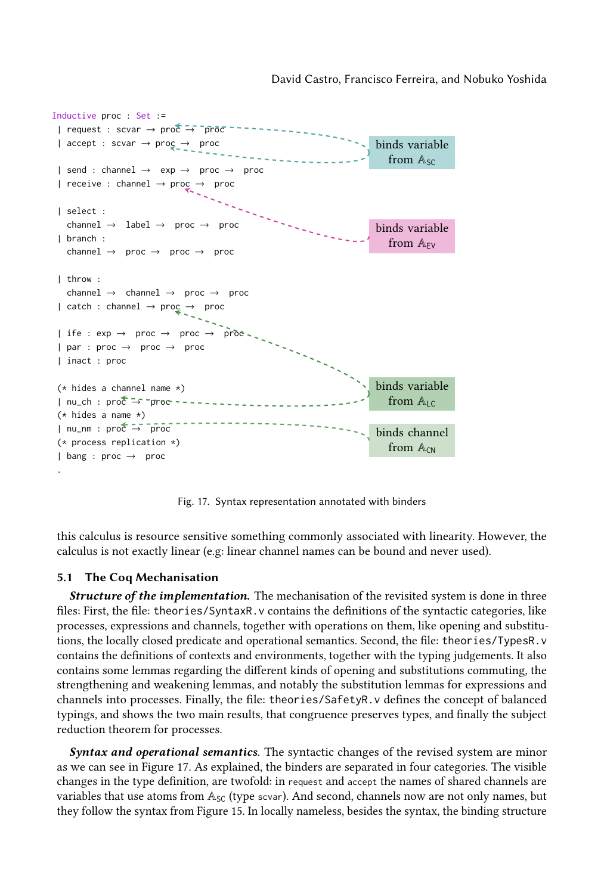<span id="page-17-1"></span>

Fig. 17. Syntax representation annotated with binders

this calculus is resource sensitive something commonly associated with linearity. However, the calculus is not exactly linear (e.g: linear channel names can be bound and never used).

#### <span id="page-17-0"></span>5.1 The Coq Mechanisation

**Structure of the implementation.** The mechanisation of the revisited system is done in three files: First, the file: theories/SyntaxR.v contains the definitions of the syntactic categories, like processes, expressions and channels, together with operations on them, like opening and substitutions, the locally closed predicate and operational semantics. Second, the file: theories/TypesR.v contains the definitions of contexts and environments, together with the typing judgements. It also contains some lemmas regarding the different kinds of opening and substitutions commuting, the strengthening and weakening lemmas, and notably the substitution lemmas for expressions and channels into processes. Finally, the file: theories/SafetyR.v defines the concept of balanced typings, and shows the two main results, that congruence preserves types, and finally the subject reduction theorem for processes.

**Syntax and operational semantics**. The syntactic changes of the revised system are minor as we can see in Figure [17.](#page-17-1) As explained, the binders are separated in four categories. The visible changes in the type definition, are twofold: in request and accept the names of shared channels are variables that use atoms from  $\mathbb{A}_{SC}$  (type scvar). And second, channels now are not only names, but they follow the syntax from Figure [15.](#page-15-2) In locally nameless, besides the syntax, the binding structure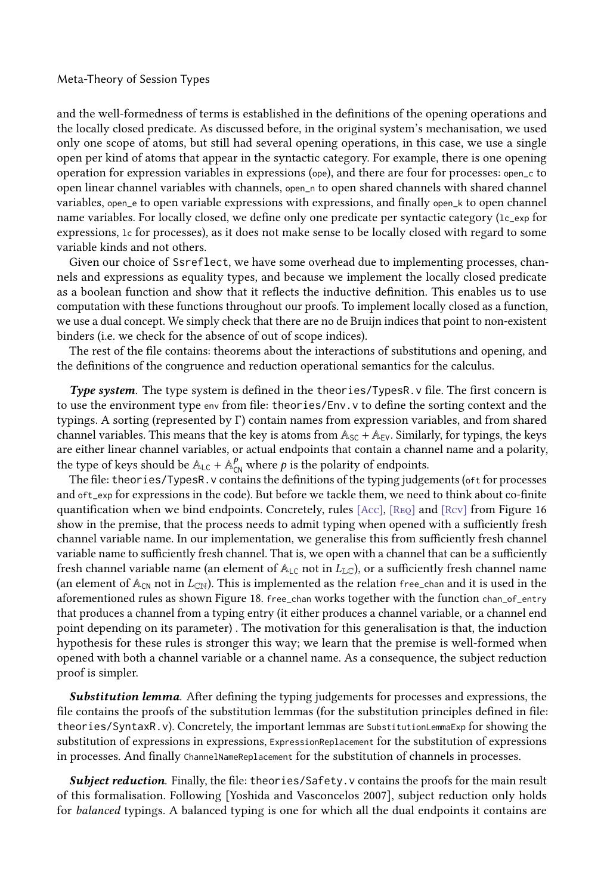and the well-formedness of terms is established in the definitions of the opening operations and the locally closed predicate. As discussed before, in the original system's mechanisation, we used only one scope of atoms, but still had several opening operations, in this case, we use a single open per kind of atoms that appear in the syntactic category. For example, there is one opening operation for expression variables in expressions (ope), and there are four for processes: open\_c to open linear channel variables with channels, open\_n to open shared channels with shared channel variables, open\_e to open variable expressions with expressions, and finally open\_k to open channel name variables. For locally closed, we define only one predicate per syntactic category  $(1c_$ <sub>exp</sub> for expressions, lc for processes), as it does not make sense to be locally closed with regard to some variable kinds and not others.

Given our choice of Ssreflect, we have some overhead due to implementing processes, channels and expressions as equality types, and because we implement the locally closed predicate as a boolean function and show that it reflects the inductive definition. This enables us to use computation with these functions throughout our proofs. To implement locally closed as a function, we use a dual concept. We simply check that there are no de Bruijn indices that point to non-existent binders (i.e. we check for the absence of out of scope indices).

The rest of the file contains: theorems about the interactions of substitutions and opening, and the definitions of the congruence and reduction operational semantics for the calculus.

Type system. The type system is defined in the theories/TypesR. v file. The first concern is to use the environment type env from file: theories/Env.v to define the sorting context and the typings. A sorting (represented by Γ) contain names from expression variables, and from shared channel variables. This means that the key is atoms from  $\mathbb{A}_{SC} + \mathbb{A}_{EV}$ . Similarly, for typings, the keys are either linear channel variables, or actual endpoints that contain a channel name and a polarity, the type of keys should be  $\mathbb{A}_{LC} + \mathbb{A}_{CN}^p$  where  $p$  is the polarity of endpoints.

The file: theories/TypesR.v contains the definitions of the typing judgements (oft for processes and oft\_exp for expressions in the code). But before we tackle them, we need to think about co-finite quantification when we bind endpoints. Concretely, rules [Acc], [Req] and [Rcv] from Figure [16](#page-16-0) show in the premise, that the process needs to admit typing when opened with a sufficiently fresh channel variable name. In our implementation, we generalise this from sufficiently fresh channel variable name to sufficiently fresh channel. That is, we open with a channel that can be a sufficiently fresh channel variable name (an element of  $\mathbb{A}_{\mathsf{LC}}$  not in  $L_{\mathsf{LC}}$ ), or a sufficiently fresh channel name (an element of  $\mathbb{A}_{\text{CN}}$  not in  $L_{\text{CN}}$ ). This is implemented as the relation free\_chan and it is used in the aforementioned rules as shown Figure [18.](#page-19-0) free\_chan works together with the function chan\_of\_entry that produces a channel from a typing entry (it either produces a channel variable, or a channel end point depending on its parameter) . The motivation for this generalisation is that, the induction hypothesis for these rules is stronger this way; we learn that the premise is well-formed when opened with both a channel variable or a channel name. As a consequence, the subject reduction proof is simpler.

Substitution lemma. After defining the typing judgements for processes and expressions, the file contains the proofs of the substitution lemmas (for the substitution principles defined in file: theories/SyntaxR.v). Concretely, the important lemmas are SubstitutionLemmaExp for showing the substitution of expressions in expressions, ExpressionReplacement for the substitution of expressions in processes. And finally ChannelNameReplacement for the substitution of channels in processes.

Subject reduction. Finally, the file: theories/Safety. v contains the proofs for the main result of this formalisation. Following [\[Yoshida and Vasconcelos 2007\]](#page-24-5), subject reduction only holds for balanced typings. A balanced typing is one for which all the dual endpoints it contains are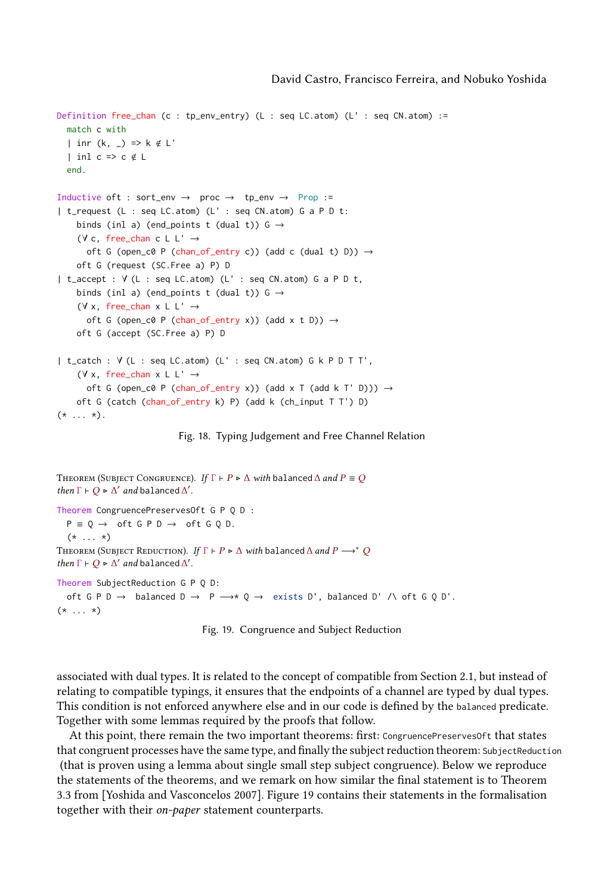```
Definition free_chan (c : tp_env_entry) (L : seq LC.atom) (L' : seq CN.atom) :=
  match c with
  | inr (k, _) => k \notin L'
  | inl c => c \notin L
  end.
Inductive oft : sort_env \rightarrow proc \rightarrow tp_env \rightarrow Prop :=
| t_request (L : seq LC.atom) (L' : seq CN.atom) G a P D t:
    binds (inl a) (end_points t (dual t)) G \rightarrow(\forall c, free_chan c L L' \rightarrowoft G (open_c0 P (chan_of_entry c)) (add c (dual t) D)) \rightarrowoft G (request (SC.Free a) P) D
| t_accept : ∀ (L : seq LC.atom) (L' : seq CN.atom) G a P D t,
    binds (inl a) (end_points t (dual t)) G \rightarrow(∀ x, free_chan x L L' →
      oft G (open_c0 P (chan_of_entry x)) (add x t D)) \rightarrowoft G (accept (SC.Free a) P) D
| t_catch : ∀ (L : seq LC.atom) (L' : seq CN.atom) G k P D T T',
    (∀ x, free_chan x L L' →
      oft G (open_c0 P (chan_of_entry x)) (add x T (add k T' D))) \rightarrowoft G (catch (chan_of_entry k) P) (add k (ch_input T T') D)
(* \ldots *).
```
Fig. 18. Typing Judgement and Free Channel Relation

```
THEOREM (SUBJECT CONGRUENCE). If \Gamma \vdash P \triangleright \Delta with balanced \Delta and P \equiv Qthen \Gamma \vdash Q \triangleright \Delta' and balanced \Delta'.
Theorem CongruencePreservesOft G P Q D :
  P \equiv Q \rightarrow \text{ of }t G P D \rightarrow \text{ of }t G Q D.(* \ldots *)THEOREM (SUBJECT REDUCTION). If \Gamma \vdash P \triangleright \Delta with balanced \Delta and P \longrightarrow^* Qthen \Gamma \vdash Q \triangleright \Delta' and balanced \Delta'.
Theorem SubjectReduction G P Q D:
  oft G P D → balanced D → P → * Q → exists D', balanced D' /\ oft G Q D'.
(* \ldots *)
```
Fig. 19. Congruence and Subject Reduction

associated with dual types. It is related to the concept of compatible from Section [2.1,](#page-3-1) but instead of relating to compatible typings, it ensures that the endpoints of a channel are typed by dual types. This condition is not enforced anywhere else and in our code is defined by the balanced predicate. Together with some lemmas required by the proofs that follow.

At this point, there remain the two important theorems: first: CongruencePreservesOft that states that congruent processes have the same type, and finally the subject reduction theorem: SubjectReduction (that is proven using a lemma about single small step subject congruence). Below we reproduce the statements of the theorems, and we remark on how similar the final statement is to Theorem 3.3 from [\[Yoshida and Vasconcelos 2007\]](#page-24-5). Figure [19](#page-19-1) contains their statements in the formalisation together with their on-paper statement counterparts.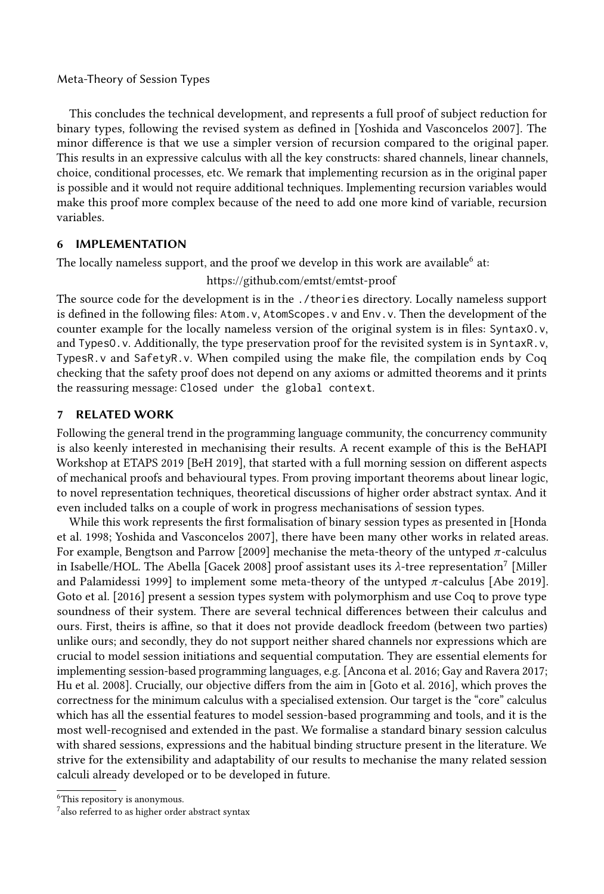This concludes the technical development, and represents a full proof of subject reduction for binary types, following the revised system as defined in [\[Yoshida and Vasconcelos 2007\]](#page-24-5). The minor difference is that we use a simpler version of recursion compared to the original paper. This results in an expressive calculus with all the key constructs: shared channels, linear channels, choice, conditional processes, etc. We remark that implementing recursion as in the original paper is possible and it would not require additional techniques. Implementing recursion variables would make this proof more complex because of the need to add one more kind of variable, recursion variables.

#### <span id="page-20-0"></span>6 IMPLEMENTATION

The locally nameless support, and the proof we develop in this work are available<sup>[6](#page-20-1)</sup> at:

#### <https://github.com/emtst/emtst-proof>

The source code for the development is in the ./theories directory. Locally nameless support is defined in the following files: Atom.v, AtomScopes.v and Env.v. Then the development of the counter example for the locally nameless version of the original system is in files: SyntaxO.v, and TypesO.v. Additionally, the type preservation proof for the revisited system is in SyntaxR.v, TypesR.v and SafetyR.v. When compiled using the make file, the compilation ends by Coq checking that the safety proof does not depend on any axioms or admitted theorems and it prints the reassuring message: Closed under the global context.

#### 7 RELATED WORK

Following the general trend in the programming language community, the concurrency community is also keenly interested in mechanising their results. A recent example of this is the BeHAPI Workshop at ETAPS 2019 [\[BeH 2019\]](#page-22-2), that started with a full morning session on different aspects of mechanical proofs and behavioural types. From proving important theorems about linear logic, to novel representation techniques, theoretical discussions of higher order abstract syntax. And it even included talks on a couple of work in progress mechanisations of session types.

While this work represents the first formalisation of binary session types as presented in [\[Honda](#page-23-2) [et al.](#page-23-2) [1998;](#page-23-2) [Yoshida and Vasconcelos 2007\]](#page-24-5), there have been many other works in related areas. For example, [Bengtson and Parrow](#page-22-3) [\[2009\]](#page-22-3) mechanise the meta-theory of the untyped π-calculus in Isabelle/HOL. The Abella [\[Gacek 2008\]](#page-23-11) proof assistant uses its  $\lambda$ -tree representation<sup>[7](#page-20-2)</sup> [\[Miller](#page-24-14) [and Palamidessi 1999\]](#page-24-14) to implement some meta-theory of the untyped π-calculus [\[Abe 2019\]](#page-22-4). [Goto et al.](#page-23-13) [\[2016\]](#page-23-13) present a session types system with polymorphism and use Coq to prove type soundness of their system. There are several technical differences between their calculus and ours. First, theirs is affine, so that it does not provide deadlock freedom (between two parties) unlike ours; and secondly, they do not support neither shared channels nor expressions which are crucial to model session initiations and sequential computation. They are essential elements for implementing session-based programming languages, e.g. [\[Ancona et al.](#page-22-5) [2016;](#page-22-5) [Gay and Ravera 2017;](#page-23-14) [Hu et al.](#page-23-15) [2008\]](#page-23-15). Crucially, our objective differs from the aim in [\[Goto et al.](#page-23-13) [2016\]](#page-23-13), which proves the correctness for the minimum calculus with a specialised extension. Our target is the "core" calculus which has all the essential features to model session-based programming and tools, and it is the most well-recognised and extended in the past. We formalise a standard binary session calculus with shared sessions, expressions and the habitual binding structure present in the literature. We strive for the extensibility and adaptability of our results to mechanise the many related session calculi already developed or to be developed in future.

<span id="page-20-1"></span><sup>6</sup>This repository is anonymous.

<span id="page-20-2"></span> $^7$ also referred to as higher order abstract syntax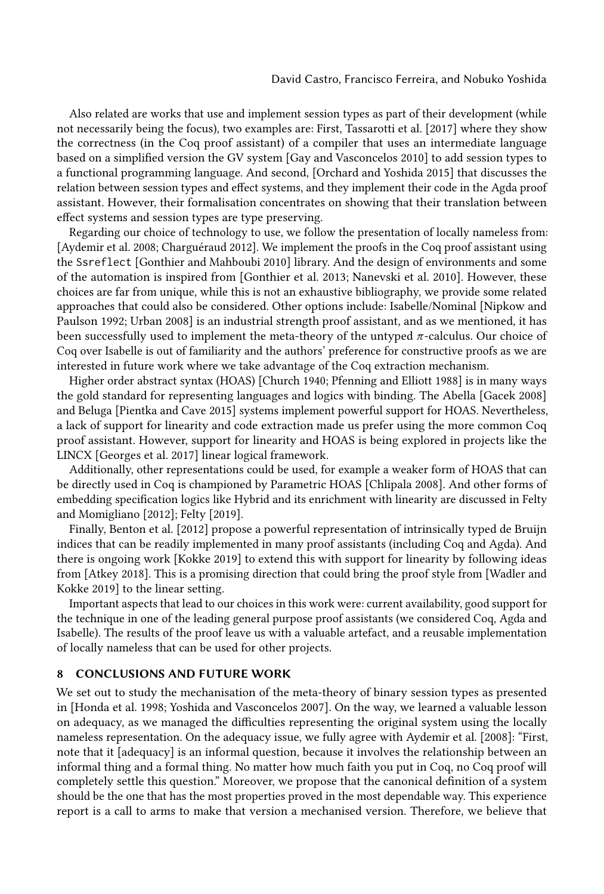Also related are works that use and implement session types as part of their development (while not necessarily being the focus), two examples are: First, [Tassarotti et al.](#page-24-15) [\[2017\]](#page-24-15) where they show the correctness (in the Coq proof assistant) of a compiler that uses an intermediate language based on a simplified version the GV system [\[Gay and Vasconcelos 2010\]](#page-23-16) to add session types to a functional programming language. And second, [\[Orchard and Yoshida 2015\]](#page-24-16) that discusses the relation between session types and effect systems, and they implement their code in the Agda proof assistant. However, their formalisation concentrates on showing that their translation between effect systems and session types are type preserving.

Regarding our choice of technology to use, we follow the presentation of locally nameless from: [\[Aydemir et al.](#page-22-0) [2008;](#page-22-0) [Charguéraud 2012\]](#page-22-1). We implement the proofs in the Coq proof assistant using the Ssreflect [\[Gonthier and Mahboubi 2010\]](#page-23-3) library. And the design of environments and some of the automation is inspired from [\[Gonthier et al.](#page-23-4) [2013;](#page-23-4) [Nanevski et al.](#page-24-9) [2010\]](#page-24-9). However, these choices are far from unique, while this is not an exhaustive bibliography, we provide some related approaches that could also be considered. Other options include: Isabelle/Nominal [\[Nipkow and](#page-24-7) [Paulson 1992;](#page-24-7) [Urban 2008\]](#page-24-17) is an industrial strength proof assistant, and as we mentioned, it has been successfully used to implement the meta-theory of the untyped  $\pi$ -calculus. Our choice of Coq over Isabelle is out of familiarity and the authors' preference for constructive proofs as we are interested in future work where we take advantage of the Coq extraction mechanism.

Higher order abstract syntax (HOAS) [\[Church 1940;](#page-23-17) [Pfenning and Elliott 1988\]](#page-24-18) is in many ways the gold standard for representing languages and logics with binding. The Abella [\[Gacek 2008\]](#page-23-11) and Beluga [\[Pientka and Cave 2015\]](#page-24-13) systems implement powerful support for HOAS. Nevertheless, a lack of support for linearity and code extraction made us prefer using the more common Coq proof assistant. However, support for linearity and HOAS is being explored in projects like the LINCX [\[Georges et al. 2017\]](#page-23-18) linear logical framework.

Additionally, other representations could be used, for example a weaker form of HOAS that can be directly used in Coq is championed by Parametric HOAS [\[Chlipala 2008\]](#page-22-6). And other forms of embedding specification logics like Hybrid and its enrichment with linearity are discussed in [Felty](#page-23-19) [and Momigliano](#page-23-19) [\[2012\]](#page-23-19); [Felty](#page-23-20) [\[2019\]](#page-23-20).

Finally, [Benton et al.](#page-22-7) [\[2012\]](#page-22-7) propose a powerful representation of intrinsically typed de Bruijn indices that can be readily implemented in many proof assistants (including Coq and Agda). And there is ongoing work [\[Kokke 2019\]](#page-23-21) to extend this with support for linearity by following ideas from [\[Atkey 2018\]](#page-22-8). This is a promising direction that could bring the proof style from [\[Wadler and](#page-24-19) [Kokke 2019\]](#page-24-19) to the linear setting.

Important aspects that lead to our choices in this work were: current availability, good support for the technique in one of the leading general purpose proof assistants (we considered Coq, Agda and Isabelle). The results of the proof leave us with a valuable artefact, and a reusable implementation of locally nameless that can be used for other projects.

#### 8 CONCLUSIONS AND FUTURE WORK

We set out to study the mechanisation of the meta-theory of binary session types as presented in [\[Honda et al.](#page-23-2) [1998;](#page-23-2) [Yoshida and Vasconcelos 2007\]](#page-24-5). On the way, we learned a valuable lesson on adequacy, as we managed the difficulties representing the original system using the locally nameless representation. On the adequacy issue, we fully agree with [Aydemir et al.](#page-22-0) [\[2008\]](#page-22-0): "First, note that it [adequacy] is an informal question, because it involves the relationship between an informal thing and a formal thing. No matter how much faith you put in Coq, no Coq proof will completely settle this question." Moreover, we propose that the canonical definition of a system should be the one that has the most properties proved in the most dependable way. This experience report is a call to arms to make that version a mechanised version. Therefore, we believe that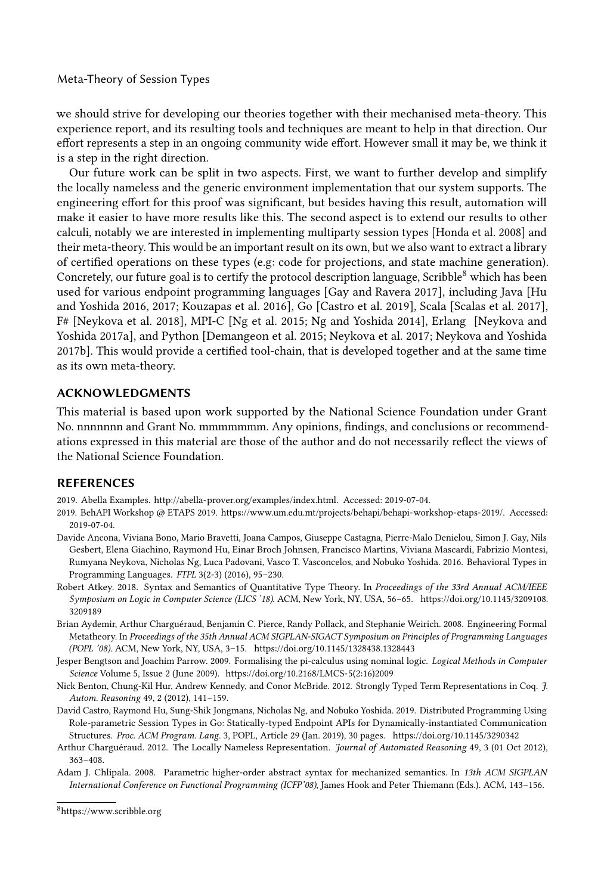we should strive for developing our theories together with their mechanised meta-theory. This experience report, and its resulting tools and techniques are meant to help in that direction. Our effort represents a step in an ongoing community wide effort. However small it may be, we think it is a step in the right direction.

Our future work can be split in two aspects. First, we want to further develop and simplify the locally nameless and the generic environment implementation that our system supports. The engineering effort for this proof was significant, but besides having this result, automation will make it easier to have more results like this. The second aspect is to extend our results to other calculi, notably we are interested in implementing multiparty session types [\[Honda et al.](#page-23-6) [2008\]](#page-23-6) and their meta-theory. This would be an important result on its own, but we also want to extract a library of certified operations on these types (e.g: code for projections, and state machine generation). Concretely, our future goal is to certify the protocol description language, Scribble $^8$  $^8$  which has been used for various endpoint programming languages [\[Gay and Ravera 2017\]](#page-23-14), including Java [\[Hu](#page-23-22) [and Yoshida 2016,](#page-23-22) [2017;](#page-23-23) [Kouzapas et al.](#page-23-24) [2016\]](#page-23-24), Go [\[Castro et al.](#page-22-10) [2019\]](#page-22-10), Scala [\[Scalas et al.](#page-24-1) [2017\]](#page-24-1), F# [\[Neykova et al.](#page-24-20) [2018\]](#page-24-20), MPI-C [\[Ng et al.](#page-24-21) [2015;](#page-24-21) [Ng and Yoshida 2014\]](#page-24-22), Erlang [\[Neykova and](#page-24-23) [Yoshida 2017a\]](#page-24-23), and Python [\[Demangeon et al.](#page-23-25) [2015;](#page-23-25) [Neykova et al.](#page-24-24) [2017;](#page-24-24) [Neykova and Yoshida](#page-24-25) [2017b\]](#page-24-25). This would provide a certified tool-chain, that is developed together and at the same time as its own meta-theory.

#### ACKNOWLEDGMENTS

This material is based upon work supported by the National Science Foundation under Grant No. nnnnnnn and Grant No. mmmmmmm. Any opinions, findings, and conclusions or recommendations expressed in this material are those of the author and do not necessarily reflect the views of the National Science Foundation.

#### **REFERENCES**

<span id="page-22-4"></span>2019. Abella Examples. [http://abella-prover.org/examples/index.html.](http://abella-prover.org/examples/index.html) Accessed: 2019-07-04.

<span id="page-22-2"></span>2019. BehAPI Workshop @ ETAPS 2019. [https://www.um.edu.mt/projects/behapi/behapi-workshop-etaps-2019/.](https://www.um.edu.mt/projects/behapi/behapi-workshop-etaps-2019/) Accessed: 2019-07-04.

- <span id="page-22-5"></span>Davide Ancona, Viviana Bono, Mario Bravetti, Joana Campos, Giuseppe Castagna, Pierre-Malo Denielou, Simon J. Gay, Nils Gesbert, Elena Giachino, Raymond Hu, Einar Broch Johnsen, Francisco Martins, Viviana Mascardi, Fabrizio Montesi, Rumyana Neykova, Nicholas Ng, Luca Padovani, Vasco T. Vasconcelos, and Nobuko Yoshida. 2016. Behavioral Types in Programming Languages. FTPL 3(2-3) (2016), 95–230.
- <span id="page-22-8"></span>Robert Atkey. 2018. Syntax and Semantics of Quantitative Type Theory. In Proceedings of the 33rd Annual ACM/IEEE Symposium on Logic in Computer Science (LICS '18). ACM, New York, NY, USA, 56–65. [https://doi.org/10.1145/3209108.](https://doi.org/10.1145/3209108.3209189) [3209189](https://doi.org/10.1145/3209108.3209189)
- <span id="page-22-0"></span>Brian Aydemir, Arthur Charguéraud, Benjamin C. Pierce, Randy Pollack, and Stephanie Weirich. 2008. Engineering Formal Metatheory. In Proceedings of the 35th Annual ACM SIGPLAN-SIGACT Symposium on Principles of Programming Languages (POPL '08). ACM, New York, NY, USA, 3–15.<https://doi.org/10.1145/1328438.1328443>
- <span id="page-22-3"></span>Jesper Bengtson and Joachim Parrow. 2009. Formalising the pi-calculus using nominal logic. Logical Methods in Computer Science Volume 5, Issue 2 (June 2009). [https://doi.org/10.2168/LMCS-5\(2:16\)2009](https://doi.org/10.2168/LMCS-5(2:16)2009)
- <span id="page-22-7"></span>Nick Benton, Chung-Kil Hur, Andrew Kennedy, and Conor McBride. 2012. Strongly Typed Term Representations in Coq. J. Autom. Reasoning 49, 2 (2012), 141–159.
- <span id="page-22-10"></span>David Castro, Raymond Hu, Sung-Shik Jongmans, Nicholas Ng, and Nobuko Yoshida. 2019. Distributed Programming Using Role-parametric Session Types in Go: Statically-typed Endpoint APIs for Dynamically-instantiated Communication Structures. Proc. ACM Program. Lang. 3, POPL, Article 29 (Jan. 2019), 30 pages.<https://doi.org/10.1145/3290342>
- <span id="page-22-1"></span>Arthur Charguéraud. 2012. The Locally Nameless Representation. Journal of Automated Reasoning 49, 3 (01 Oct 2012), 363–408.
- <span id="page-22-6"></span>Adam J. Chlipala. 2008. Parametric higher-order abstract syntax for mechanized semantics. In 13th ACM SIGPLAN International Conference on Functional Programming (ICFP'08), James Hook and Peter Thiemann (Eds.). ACM, 143–156.

<span id="page-22-9"></span><sup>8</sup>https://www.scribble.org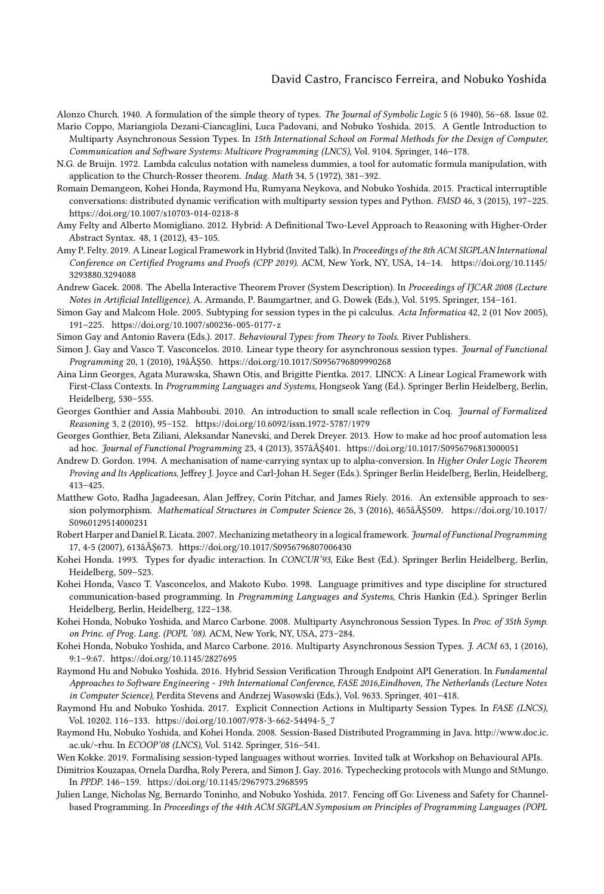#### David Castro, Francisco Ferreira, and Nobuko Yoshida

<span id="page-23-17"></span><span id="page-23-5"></span>Alonzo Church. 1940. A formulation of the simple theory of types. The Journal of Symbolic Logic 5 (6 1940), 56–68. Issue 02. Mario Coppo, Mariangiola Dezani-Ciancaglini, Luca Padovani, and Nobuko Yoshida. 2015. A Gentle Introduction to

- Multiparty Asynchronous Session Types. In 15th International School on Formal Methods for the Design of Computer, Communication and Software Systems: Multicore Programming (LNCS), Vol. 9104. Springer, 146–178.
- <span id="page-23-8"></span>N.G. de Bruijn. 1972. Lambda calculus notation with nameless dummies, a tool for automatic formula manipulation, with application to the Church-Rosser theorem. Indag. Math 34, 5 (1972), 381–392.
- <span id="page-23-25"></span>Romain Demangeon, Kohei Honda, Raymond Hu, Rumyana Neykova, and Nobuko Yoshida. 2015. Practical interruptible conversations: distributed dynamic verification with multiparty session types and Python. FMSD 46, 3 (2015), 197–225. <https://doi.org/10.1007/s10703-014-0218-8>
- <span id="page-23-19"></span>Amy Felty and Alberto Momigliano. 2012. Hybrid: A Definitional Two-Level Approach to Reasoning with Higher-Order Abstract Syntax. 48, 1 (2012), 43–105.
- <span id="page-23-20"></span>Amy P. Felty. 2019. A Linear Logical Framework in Hybrid (Invited Talk). In Proceedings of the 8th ACM SIGPLAN International Conference on Certified Programs and Proofs (CPP 2019). ACM, New York, NY, USA, 14–14. [https://doi.org/10.1145/](https://doi.org/10.1145/3293880.3294088) [3293880.3294088](https://doi.org/10.1145/3293880.3294088)
- <span id="page-23-11"></span>Andrew Gacek. 2008. The Abella Interactive Theorem Prover (System Description). In Proceedings of IJCAR 2008 (Lecture Notes in Artificial Intelligence), A. Armando, P. Baumgartner, and G. Dowek (Eds.), Vol. 5195. Springer, 154–161.
- <span id="page-23-12"></span>Simon Gay and Malcom Hole. 2005. Subtyping for session types in the pi calculus. Acta Informatica 42, 2 (01 Nov 2005), 191–225.<https://doi.org/10.1007/s00236-005-0177-z>
- <span id="page-23-14"></span>Simon Gay and Antonio Ravera (Eds.). 2017. Behavioural Types: from Theory to Tools. River Publishers.
- <span id="page-23-16"></span>Simon J. Gay and Vasco T. Vasconcelos. 2010. Linear type theory for asynchronous session types. Journal of Functional Programming 20, 1 (2010), 19âĂŞ50.<https://doi.org/10.1017/S0956796809990268>
- <span id="page-23-18"></span>Aina Linn Georges, Agata Murawska, Shawn Otis, and Brigitte Pientka. 2017. LINCX: A Linear Logical Framework with First-Class Contexts. In Programming Languages and Systems, Hongseok Yang (Ed.). Springer Berlin Heidelberg, Berlin, Heidelberg, 530–555.
- <span id="page-23-3"></span>Georges Gonthier and Assia Mahboubi. 2010. An introduction to small scale reflection in Coq. Journal of Formalized Reasoning 3, 2 (2010), 95–152.<https://doi.org/10.6092/issn.1972-5787/1979>
- <span id="page-23-4"></span>Georges Gonthier, Beta Ziliani, Aleksandar Nanevski, and Derek Dreyer. 2013. How to make ad hoc proof automation less ad hoc. Journal of Functional Programming 23, 4 (2013), 357âĂŞ401.<https://doi.org/10.1017/S0956796813000051>
- <span id="page-23-9"></span>Andrew D. Gordon. 1994. A mechanisation of name-carrying syntax up to alpha-conversion. In Higher Order Logic Theorem Proving and Its Applications, Jeffrey J. Joyce and Carl-Johan H. Seger (Eds.). Springer Berlin Heidelberg, Berlin, Heidelberg, 413–425.
- <span id="page-23-13"></span>Matthew Goto, Radha Jagadeesan, Alan Jeffrey, Corin Pitchar, and James Riely. 2016. An extensible approach to session polymorphism. Mathematical Structures in Computer Science 26, 3 (2016), 465âĂŞ509. [https://doi.org/10.1017/](https://doi.org/10.1017/S0960129514000231) [S0960129514000231](https://doi.org/10.1017/S0960129514000231)
- <span id="page-23-10"></span>Robert Harper and Daniel R. Licata. 2007. Mechanizing metatheory in a logical framework. Journal of Functional Programming 17, 4-5 (2007), 613âĂŞ673.<https://doi.org/10.1017/S0956796807006430>
- <span id="page-23-1"></span>Kohei Honda. 1993. Types for dyadic interaction. In CONCUR'93, Eike Best (Ed.). Springer Berlin Heidelberg, Berlin, Heidelberg, 509–523.
- <span id="page-23-2"></span>Kohei Honda, Vasco T. Vasconcelos, and Makoto Kubo. 1998. Language primitives and type discipline for structured communication-based programming. In Programming Languages and Systems, Chris Hankin (Ed.). Springer Berlin Heidelberg, Berlin, Heidelberg, 122–138.
- <span id="page-23-6"></span>Kohei Honda, Nobuko Yoshida, and Marco Carbone. 2008. Multiparty Asynchronous Session Types. In Proc. of 35th Symp. on Princ. of Prog. Lang. (POPL '08). ACM, New York, NY, USA, 273–284.
- <span id="page-23-7"></span>Kohei Honda, Nobuko Yoshida, and Marco Carbone. 2016. Multiparty Asynchronous Session Types. J. ACM 63, 1 (2016), 9:1–9:67.<https://doi.org/10.1145/2827695>
- <span id="page-23-22"></span>Raymond Hu and Nobuko Yoshida. 2016. Hybrid Session Verification Through Endpoint API Generation. In Fundamental Approaches to Software Engineering - 19th International Conference, FASE 2016,Eindhoven, The Netherlands (Lecture Notes in Computer Science), Perdita Stevens and Andrzej Wasowski (Eds.), Vol. 9633. Springer, 401–418.
- <span id="page-23-23"></span>Raymond Hu and Nobuko Yoshida. 2017. Explicit Connection Actions in Multiparty Session Types. In FASE (LNCS), Vol. 10202. 116–133. [https://doi.org/10.1007/978-3-662-54494-5\\_7](https://doi.org/10.1007/978-3-662-54494-5_7)
- <span id="page-23-15"></span>Raymond Hu, Nobuko Yoshida, and Kohei Honda. 2008. Session-Based Distributed Programming in Java. [http://www.doc.ic.](http://www.doc.ic.ac.uk/~rhu) [ac.uk/~rhu.](http://www.doc.ic.ac.uk/~rhu) In ECOOP'08 (LNCS), Vol. 5142. Springer, 516–541.
- <span id="page-23-21"></span>Wen Kokke. 2019. Formalising session-typed languages without worries. Invited talk at Workshop on Behavioural APIs.
- <span id="page-23-24"></span>Dimitrios Kouzapas, Ornela Dardha, Roly Perera, and Simon J. Gay. 2016. Typechecking protocols with Mungo and StMungo. In PPDP. 146–159.<https://doi.org/10.1145/2967973.2968595>
- <span id="page-23-0"></span>Julien Lange, Nicholas Ng, Bernardo Toninho, and Nobuko Yoshida. 2017. Fencing off Go: Liveness and Safety for Channelbased Programming. In Proceedings of the 44th ACM SIGPLAN Symposium on Principles of Programming Languages (POPL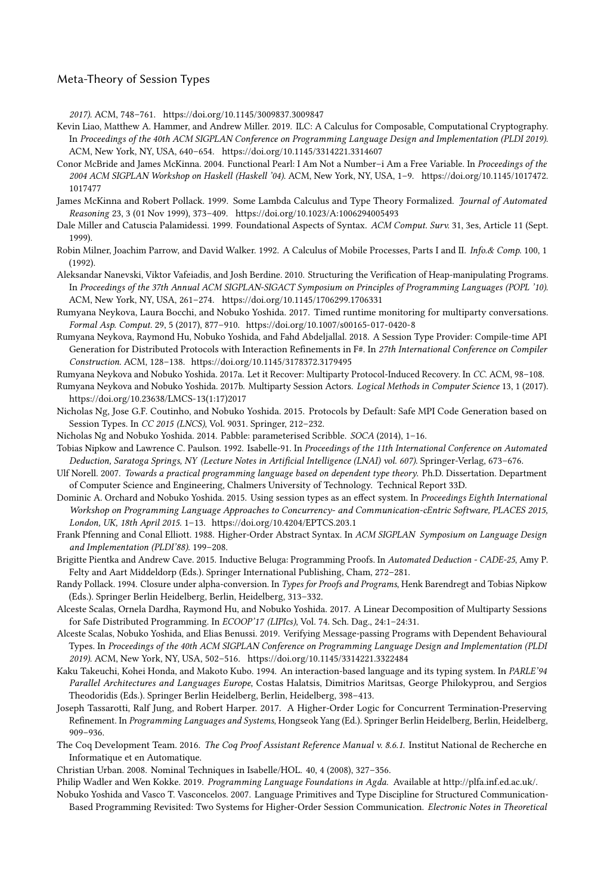2017). ACM, 748–761.<https://doi.org/10.1145/3009837.3009847>

- <span id="page-24-3"></span>Kevin Liao, Matthew A. Hammer, and Andrew Miller. 2019. ILC: A Calculus for Composable, Computational Cryptography. In Proceedings of the 40th ACM SIGPLAN Conference on Programming Language Design and Implementation (PLDI 2019). ACM, New York, NY, USA, 640–654.<https://doi.org/10.1145/3314221.3314607>
- <span id="page-24-11"></span>Conor McBride and James McKinna. 2004. Functional Pearl: I Am Not a Number–i Am a Free Variable. In Proceedings of the 2004 ACM SIGPLAN Workshop on Haskell (Haskell '04). ACM, New York, NY, USA, 1–9. [https://doi.org/10.1145/1017472.](https://doi.org/10.1145/1017472.1017477) [1017477](https://doi.org/10.1145/1017472.1017477)
- <span id="page-24-12"></span>James McKinna and Robert Pollack. 1999. Some Lambda Calculus and Type Theory Formalized. Journal of Automated Reasoning 23, 3 (01 Nov 1999), 373–409.<https://doi.org/10.1023/A:1006294005493>
- <span id="page-24-14"></span>Dale Miller and Catuscia Palamidessi. 1999. Foundational Aspects of Syntax. ACM Comput. Surv. 31, 3es, Article 11 (Sept. 1999).
- <span id="page-24-0"></span>Robin Milner, Joachim Parrow, and David Walker. 1992. A Calculus of Mobile Processes, Parts I and II. Info.& Comp. 100, 1 (1992).
- <span id="page-24-9"></span>Aleksandar Nanevski, Viktor Vafeiadis, and Josh Berdine. 2010. Structuring the Verification of Heap-manipulating Programs. In Proceedings of the 37th Annual ACM SIGPLAN-SIGACT Symposium on Principles of Programming Languages (POPL '10). ACM, New York, NY, USA, 261–274.<https://doi.org/10.1145/1706299.1706331>
- <span id="page-24-24"></span>Rumyana Neykova, Laura Bocchi, and Nobuko Yoshida. 2017. Timed runtime monitoring for multiparty conversations. Formal Asp. Comput. 29, 5 (2017), 877–910.<https://doi.org/10.1007/s00165-017-0420-8>
- <span id="page-24-20"></span>Rumyana Neykova, Raymond Hu, Nobuko Yoshida, and Fahd Abdeljallal. 2018. A Session Type Provider: Compile-time API Generation for Distributed Protocols with Interaction Refinements in F#. In 27th International Conference on Compiler Construction. ACM, 128–138.<https://doi.org/10.1145/3178372.3179495>
- <span id="page-24-23"></span>Rumyana Neykova and Nobuko Yoshida. 2017a. Let it Recover: Multiparty Protocol-Induced Recovery. In CC. ACM, 98–108.
- <span id="page-24-25"></span>Rumyana Neykova and Nobuko Yoshida. 2017b. Multiparty Session Actors. Logical Methods in Computer Science 13, 1 (2017). [https://doi.org/10.23638/LMCS-13\(1:17\)2017](https://doi.org/10.23638/LMCS-13(1:17)2017)
- <span id="page-24-21"></span>Nicholas Ng, Jose G.F. Coutinho, and Nobuko Yoshida. 2015. Protocols by Default: Safe MPI Code Generation based on Session Types. In CC 2015 (LNCS), Vol. 9031. Springer, 212–232.
- <span id="page-24-22"></span><span id="page-24-7"></span>Nicholas Ng and Nobuko Yoshida. 2014. Pabble: parameterised Scribble. SOCA (2014), 1–16.
- Tobias Nipkow and Lawrence C. Paulson. 1992. Isabelle-91. In Proceedings of the 11th International Conference on Automated Deduction, Saratoga Springs, NY (Lecture Notes in Artificial Intelligence (LNAI) vol. 607). Springer-Verlag, 673–676.
- <span id="page-24-8"></span>Ulf Norell. 2007. Towards a practical programming language based on dependent type theory. Ph.D. Dissertation. Department of Computer Science and Engineering, Chalmers University of Technology. Technical Report 33D.
- <span id="page-24-16"></span>Dominic A. Orchard and Nobuko Yoshida. 2015. Using session types as an effect system. In Proceedings Eighth International Workshop on Programming Language Approaches to Concurrency- and Communication-cEntric Software, PLACES 2015, London, UK, 18th April 2015. 1–13.<https://doi.org/10.4204/EPTCS.203.1>
- <span id="page-24-18"></span>Frank Pfenning and Conal Elliott. 1988. Higher-Order Abstract Syntax. In ACM SIGPLAN Symposium on Language Design and Implementation (PLDI'88). 199–208.
- <span id="page-24-13"></span>Brigitte Pientka and Andrew Cave. 2015. Inductive Beluga: Programming Proofs. In Automated Deduction - CADE-25, Amy P. Felty and Aart Middeldorp (Eds.). Springer International Publishing, Cham, 272–281.
- <span id="page-24-10"></span>Randy Pollack. 1994. Closure under alpha-conversion. In Types for Proofs and Programs, Henk Barendregt and Tobias Nipkow (Eds.). Springer Berlin Heidelberg, Berlin, Heidelberg, 313–332.
- <span id="page-24-1"></span>Alceste Scalas, Ornela Dardha, Raymond Hu, and Nobuko Yoshida. 2017. A Linear Decomposition of Multiparty Sessions for Safe Distributed Programming. In ECOOP'17 (LIPIcs), Vol. 74. Sch. Dag., 24:1–24:31.
- <span id="page-24-2"></span>Alceste Scalas, Nobuko Yoshida, and Elias Benussi. 2019. Verifying Message-passing Programs with Dependent Behavioural Types. In Proceedings of the 40th ACM SIGPLAN Conference on Programming Language Design and Implementation (PLDI 2019). ACM, New York, NY, USA, 502–516.<https://doi.org/10.1145/3314221.3322484>
- <span id="page-24-4"></span>Kaku Takeuchi, Kohei Honda, and Makoto Kubo. 1994. An interaction-based language and its typing system. In PARLE'94 Parallel Architectures and Languages Europe, Costas Halatsis, Dimitrios Maritsas, George Philokyprou, and Sergios Theodoridis (Eds.). Springer Berlin Heidelberg, Berlin, Heidelberg, 398–413.
- <span id="page-24-15"></span>Joseph Tassarotti, Ralf Jung, and Robert Harper. 2017. A Higher-Order Logic for Concurrent Termination-Preserving Refinement. In Programming Languages and Systems, Hongseok Yang (Ed.). Springer Berlin Heidelberg, Berlin, Heidelberg, 909–936.
- <span id="page-24-6"></span>The Coq Development Team. 2016. The Coq Proof Assistant Reference Manual v. 8.6.1. Institut National de Recherche en Informatique et en Automatique.
- <span id="page-24-17"></span>Christian Urban. 2008. Nominal Techniques in Isabelle/HOL. 40, 4 (2008), 327–356.
- <span id="page-24-19"></span>Philip Wadler and Wen Kokke. 2019. Programming Language Foundations in Agda. Available at [http://plfa.inf.ed.ac.uk/.](http://plfa.inf.ed.ac.uk/)
- <span id="page-24-5"></span>Nobuko Yoshida and Vasco T. Vasconcelos. 2007. Language Primitives and Type Discipline for Structured Communication-Based Programming Revisited: Two Systems for Higher-Order Session Communication. Electronic Notes in Theoretical